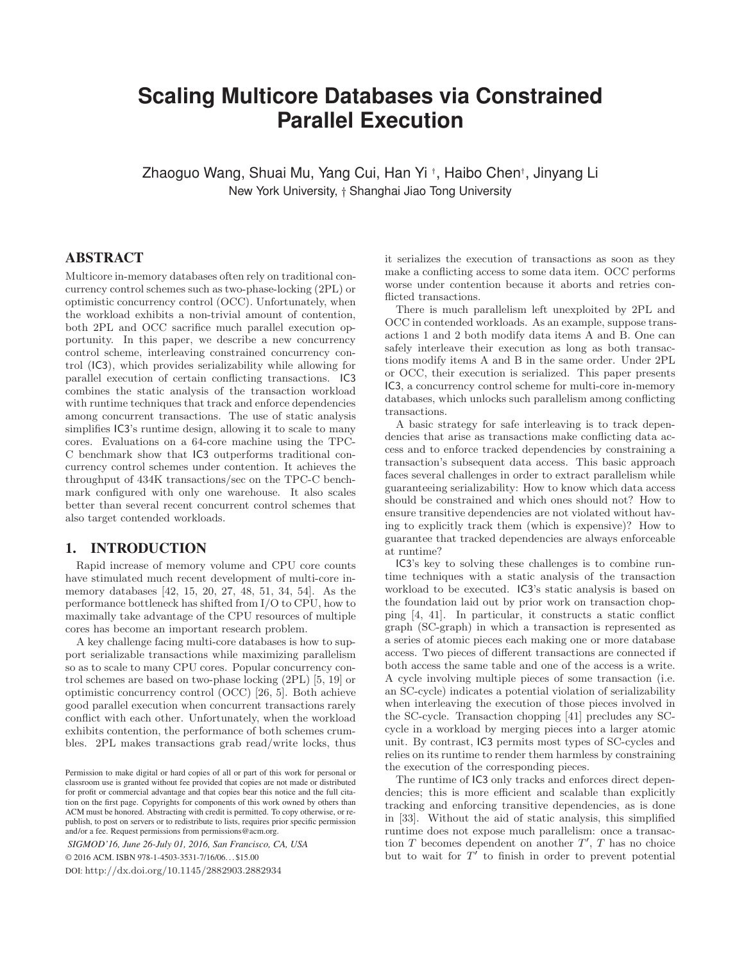# **Scaling Multicore Databases via Constrained Parallel Execution**

Zhaoguo Wang, Shuai Mu, Yang Cui, Han Yi <sup>†</sup>, Haibo Chen†, Jinyang Li New York University, <sup>+</sup> Shanghai Jiao Tong University

## ABSTRACT

Multicore in-memory databases often rely on traditional concurrency control schemes such as two-phase-locking (2PL) or optimistic concurrency control (OCC). Unfortunately, when the workload exhibits a non-trivial amount of contention, both 2PL and OCC sacrifice much parallel execution opportunity. In this paper, we describe a new concurrency control scheme, interleaving constrained concurrency control (IC3), which provides serializability while allowing for parallel execution of certain conflicting transactions. IC3 combines the static analysis of the transaction workload with runtime techniques that track and enforce dependencies among concurrent transactions. The use of static analysis simplifies IC3's runtime design, allowing it to scale to many cores. Evaluations on a 64-core machine using the TPC-C benchmark show that IC3 outperforms traditional concurrency control schemes under contention. It achieves the throughput of 434K transactions/sec on the TPC-C benchmark configured with only one warehouse. It also scales better than several recent concurrent control schemes that also target contended workloads.

#### 1. INTRODUCTION

Rapid increase of memory volume and CPU core counts have stimulated much recent development of multi-core inmemory databases [\[42,](#page-13-0) [15](#page-12-0), [20,](#page-12-1) [27,](#page-12-2) [48](#page-13-1), [51,](#page-13-2) [34](#page-12-3), [54](#page-13-3)]. As the performance bottleneck has shifted from I/O to CPU, how to maximally take advantage of the CPU resources of multiple cores has become an important research problem.

A key challenge facing multi-core databases is how to support serializable transactions while maximizing parallelism so as to scale to many CPU cores. Popular concurrency control schemes are based on two-phase locking (2PL) [\[5](#page-12-4), [19\]](#page-12-5) or optimistic concurrency control (OCC) [\[26,](#page-12-6) [5\]](#page-12-4). Both achieve good parallel execution when concurrent transactions rarely conflict with each other. Unfortunately, when the workload exhibits contention, the performance of both schemes crumbles. 2PL makes transactions grab read/write locks, thus

*SIGMOD'16, June 26-July 01, 2016, San Francisco, CA, USA*

© 2016 ACM. ISBN 978-1-4503-3531-7/16/06. . . \$15.00

DOI: <http://dx.doi.org/10.1145/2882903.2882934>

it serializes the execution of transactions as soon as they make a conflicting access to some data item. OCC performs worse under contention because it aborts and retries conflicted transactions.

There is much parallelism left unexploited by 2PL and OCC in contended workloads. As an example, suppose transactions 1 and 2 both modify data items A and B. One can safely interleave their execution as long as both transactions modify items A and B in the same order. Under 2PL or OCC, their execution is serialized. This paper presents IC3, a concurrency control scheme for multi-core in-memory databases, which unlocks such parallelism among conflicting transactions.

A basic strategy for safe interleaving is to track dependencies that arise as transactions make conflicting data access and to enforce tracked dependencies by constraining a transaction's subsequent data access. This basic approach faces several challenges in order to extract parallelism while guaranteeing serializability: How to know which data access should be constrained and which ones should not? How to ensure transitive dependencies are not violated without having to explicitly track them (which is expensive)? How to guarantee that tracked dependencies are always enforceable at runtime?

IC3's key to solving these challenges is to combine runtime techniques with a static analysis of the transaction workload to be executed. IC3's static analysis is based on the foundation laid out by prior work on transaction chopping [\[4,](#page-12-7) [41](#page-12-8)]. In particular, it constructs a static conflict graph (SC-graph) in which a transaction is represented as a series of atomic pieces each making one or more database access. Two pieces of different transactions are connected if both access the same table and one of the access is a write. A cycle involving multiple pieces of some transaction (i.e. an SC-cycle) indicates a potential violation of serializability when interleaving the execution of those pieces involved in the SC-cycle. Transaction chopping [\[41\]](#page-12-8) precludes any SCcycle in a workload by merging pieces into a larger atomic unit. By contrast, IC3 permits most types of SC-cycles and relies on its runtime to render them harmless by constraining the execution of the corresponding pieces.

The runtime of IC3 only tracks and enforces direct dependencies; this is more efficient and scalable than explicitly tracking and enforcing transitive dependencies, as is done in [\[33](#page-12-9)]. Without the aid of static analysis, this simplified runtime does not expose much parallelism: once a transaction  $T$  becomes dependent on another  $T'$ ,  $T$  has no choice but to wait for  $T'$  to finish in order to prevent potential

Permission to make digital or hard copies of all or part of this work for personal or classroom use is granted without fee provided that copies are not made or distributed for profit or commercial advantage and that copies bear this notice and the full citation on the first page. Copyrights for components of this work owned by others than ACM must be honored. Abstracting with credit is permitted. To copy otherwise, or republish, to post on servers or to redistribute to lists, requires prior specific permission and/or a fee. Request permissions from permissions@acm.org.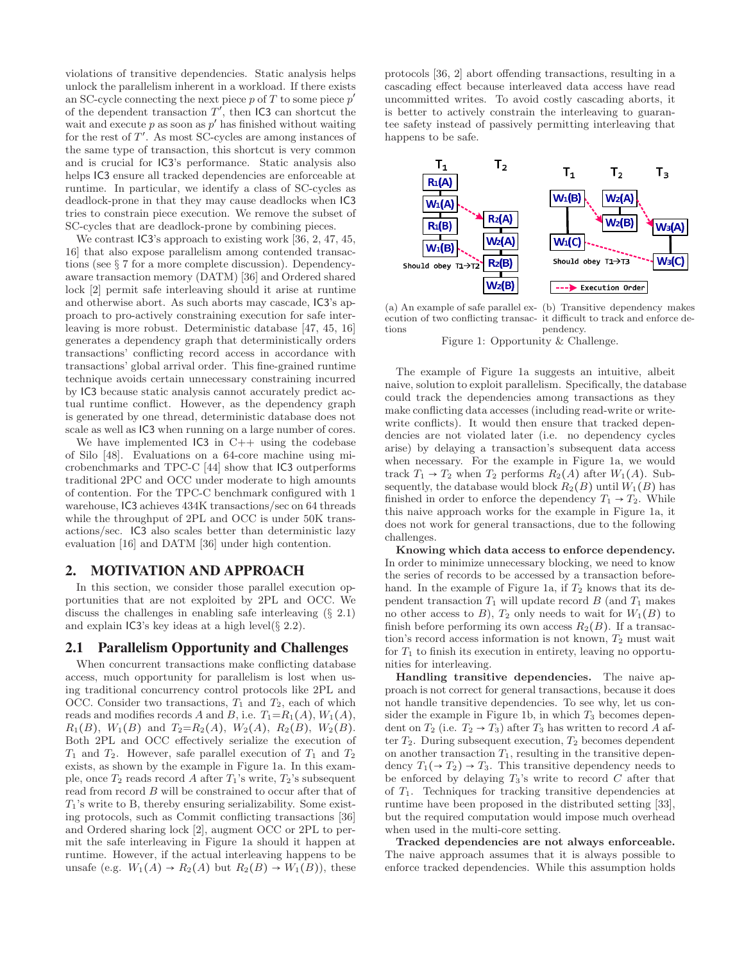violations of transitive dependencies. Static analysis helps unlock the parallelism inherent in a workload. If there exists an SC-cycle connecting the next piece  $p$  of  $T$  to some piece  $p'$ of the dependent transaction  $T'$ , then IC3 can shortcut the wait and execute  $p$  as soon as  $p'$  has finished without waiting for the rest of  $T'$ . As most SC-cycles are among instances of the same type of transaction, this shortcut is very common and is crucial for IC3's performance. Static analysis also helps IC3 ensure all tracked dependencies are enforceable at runtime. In particular, we identify a class of SC-cycles as deadlock-prone in that they may cause deadlocks when IC3 tries to constrain piece execution. We remove the subset of SC-cycles that are deadlock-prone by combining pieces.

We contrast  $\textsf{IC3}'\textsf{s}$  approach to existing work [\[36](#page-12-10), [2,](#page-12-11) [47](#page-13-4), [45](#page-13-5), [16\]](#page-12-12) that also expose parallelism among contended transactions (see § [7](#page-11-0) for a more complete discussion). Dependencyaware transaction memory (DATM) [\[36](#page-12-10)] and Ordered shared lock [\[2\]](#page-12-11) permit safe interleaving should it arise at runtime and otherwise abort. As such aborts may cascade, IC3's approach to pro-actively constraining execution for safe interleaving is more robust. Deterministic database [\[47,](#page-13-4) [45](#page-13-5), [16](#page-12-12)] generates a dependency graph that deterministically orders transactions' conflicting record access in accordance with transactions' global arrival order. This fine-grained runtime technique avoids certain unnecessary constraining incurred by IC3 because static analysis cannot accurately predict actual runtime conflict. However, as the dependency graph is generated by one thread, deterministic database does not scale as well as IC3 when running on a large number of cores.

We have implemented  $IC3$  in  $C++$  using the codebase of Silo [\[48\]](#page-13-1). Evaluations on a 64-core machine using microbenchmarks and TPC-C [\[44](#page-13-6)] show that IC3 outperforms traditional 2PC and OCC under moderate to high amounts of contention. For the TPC-C benchmark configured with 1 warehouse, IC3 achieves 434K transactions/sec on 64 threads while the throughput of 2PL and OCC is under 50K transactions/sec. IC3 also scales better than deterministic lazy evaluation [\[16\]](#page-12-12) and DATM [\[36](#page-12-10)] under high contention.

#### 2. MOTIVATION AND APPROACH

In this section, we consider those parallel execution opportunities that are not exploited by 2PL and OCC. We discuss the challenges in enabling safe interleaving (§ [2.1\)](#page-1-0) and explain  $\textsf{IC3}'\textsf{s}$  key ideas at a high level( $\S 2.2$ ).

## <span id="page-1-0"></span>2.1 Parallelism Opportunity and Challenges

When concurrent transactions make conflicting database access, much opportunity for parallelism is lost when using traditional concurrency control protocols like 2PL and OCC. Consider two transactions,  $T_1$  and  $T_2$ , each of which reads and modifies records A and B, i.e.  $T_1=R_1(A), W_1(A),$  $R_1(B)$ ,  $W_1(B)$  and  $T_2=R_2(A)$ ,  $W_2(A)$ ,  $R_2(B)$ ,  $W_2(B)$ . Both 2PL and OCC effectively serialize the execution of  $T_1$  and  $T_2$ . However, safe parallel execution of  $T_1$  and  $T_2$ exists, as shown by the example in Figure [1a.](#page-1-1) In this example, once  $T_2$  reads record A after  $T_1$ 's write,  $T_2$ 's subsequent read from record B will be constrained to occur after that of  $T_1$ 's write to B, thereby ensuring serializability. Some existing protocols, such as Commit conflicting transactions [\[36](#page-12-10)] and Ordered sharing lock [\[2\]](#page-12-11), augment OCC or 2PL to permit the safe interleaving in Figure [1a](#page-1-1) should it happen at runtime. However, if the actual interleaving happens to be unsafe (e.g.  $W_1(A) \rightarrow R_2(A)$  but  $R_2(B) \rightarrow W_1(B)$ ), these protocols [\[36](#page-12-10), [2](#page-12-11)] abort offending transactions, resulting in a cascading effect because interleaved data access have read uncommitted writes. To avoid costly cascading aborts, it is better to actively constrain the interleaving to guarantee safety instead of passively permitting interleaving that happens to be safe.

<span id="page-1-1"></span>

(a) An example of safe parallel ex-(b) Transitive dependency makes ecution of two conflicting transac-it difficult to track and enforce detions pendency.

Figure 1: Opportunity & Challenge.

The example of Figure [1a](#page-1-1) suggests an intuitive, albeit naive, solution to exploit parallelism. Specifically, the database could track the dependencies among transactions as they make conflicting data accesses (including read-write or writewrite conflicts). It would then ensure that tracked dependencies are not violated later (i.e. no dependency cycles arise) by delaying a transaction's subsequent data access when necessary. For the example in Figure [1a,](#page-1-1) we would track  $T_1 \rightarrow T_2$  when  $T_2$  performs  $R_2(A)$  after  $W_1(A)$ . Subsequently, the database would block  $R_2(B)$  until  $W_1(B)$  has finished in order to enforce the dependency  $T_1 \rightarrow T_2$ . While this naive approach works for the example in Figure [1a,](#page-1-1) it does not work for general transactions, due to the following challenges.

Knowing which data access to enforce dependency. In order to minimize unnecessary blocking, we need to know the series of records to be accessed by a transaction before-hand. In the example of Figure [1a,](#page-1-1) if  $T_2$  knows that its dependent transaction  $T_1$  will update record  $B$  (and  $T_1$  makes no other access to  $B$ ),  $T_2$  only needs to wait for  $W_1(B)$  to finish before performing its own access  $R_2(B)$ . If a transaction's record access information is not known,  $T_2$  must wait for  $T_1$  to finish its execution in entirety, leaving no opportunities for interleaving.

Handling transitive dependencies. The naive approach is not correct for general transactions, because it does not handle transitive dependencies. To see why, let us con-sider the example in Figure [1b,](#page-1-1) in which  $T_3$  becomes dependent on  $T_2$  (i.e.  $T_2 \rightarrow T_3$ ) after  $T_3$  has written to record A after  $T_2$ . During subsequent execution,  $T_2$  becomes dependent on another transaction  $T_1$ , resulting in the transitive dependency  $T_1(\rightarrow T_2) \rightarrow T_3$ . This transitive dependency needs to be enforced by delaying  $T_3$ 's write to record  $C$  after that of  $T_1$ . Techniques for tracking transitive dependencies at runtime have been proposed in the distributed setting [\[33\]](#page-12-9), but the required computation would impose much overhead when used in the multi-core setting.

Tracked dependencies are not always enforceable. The naive approach assumes that it is always possible to enforce tracked dependencies. While this assumption holds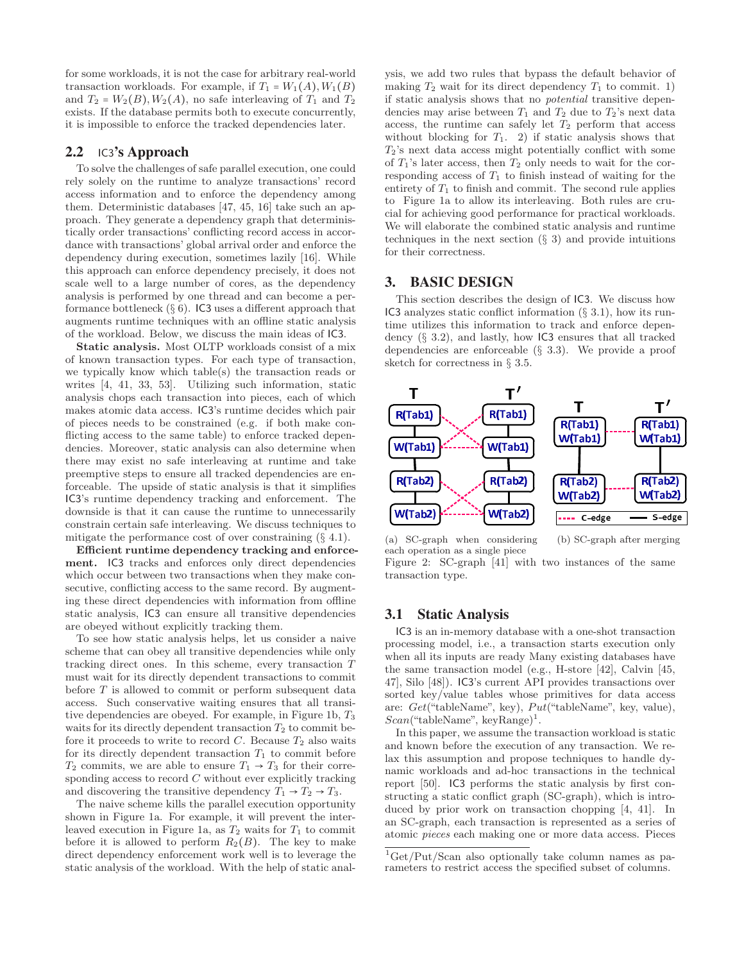for some workloads, it is not the case for arbitrary real-world transaction workloads. For example, if  $T_1 = W_1(A), W_1(B)$ and  $T_2 = W_2(B), W_2(A)$ , no safe interleaving of  $T_1$  and  $T_2$ exists. If the database permits both to execute concurrently, it is impossible to enforce the tracked dependencies later.

## <span id="page-2-0"></span>2.2 IC3's Approach

To solve the challenges of safe parallel execution, one could rely solely on the runtime to analyze transactions' record access information and to enforce the dependency among them. Deterministic databases [\[47,](#page-13-4) [45,](#page-13-5) [16](#page-12-12)] take such an approach. They generate a dependency graph that deterministically order transactions' conflicting record access in accordance with transactions' global arrival order and enforce the dependency during execution, sometimes lazily [\[16](#page-12-12)]. While this approach can enforce dependency precisely, it does not scale well to a large number of cores, as the dependency analysis is performed by one thread and can become a performance bottleneck  $(\S 6)$  $(\S 6)$ . IC3 uses a different approach that augments runtime techniques with an offline static analysis of the workload. Below, we discuss the main ideas of IC3.

Static analysis. Most OLTP workloads consist of a mix of known transaction types. For each type of transaction, we typically know which table(s) the transaction reads or writes [\[4,](#page-12-7) [41,](#page-12-8) [33](#page-12-9), [53\]](#page-13-7). Utilizing such information, static analysis chops each transaction into pieces, each of which makes atomic data access. IC3's runtime decides which pair of pieces needs to be constrained (e.g. if both make conflicting access to the same table) to enforce tracked dependencies. Moreover, static analysis can also determine when there may exist no safe interleaving at runtime and take preemptive steps to ensure all tracked dependencies are enforceable. The upside of static analysis is that it simplifies IC3's runtime dependency tracking and enforcement. The downside is that it can cause the runtime to unnecessarily constrain certain safe interleaving. We discuss techniques to mitigate the performance cost of over constraining  $(\S 4.1)$  $(\S 4.1)$ .

Efficient runtime dependency tracking and enforcement. IC3 tracks and enforces only direct dependencies which occur between two transactions when they make consecutive, conflicting access to the same record. By augmenting these direct dependencies with information from offline static analysis, IC3 can ensure all transitive dependencies are obeyed without explicitly tracking them.

To see how static analysis helps, let us consider a naive scheme that can obey all transitive dependencies while only tracking direct ones. In this scheme, every transaction T must wait for its directly dependent transactions to commit before  $T$  is allowed to commit or perform subsequent data access. Such conservative waiting ensures that all transi-tive dependencies are obeyed. For example, in Figure [1b,](#page-1-1)  $T_3$ waits for its directly dependent transaction  $T_2$  to commit before it proceeds to write to record  $C$ . Because  $T_2$  also waits for its directly dependent transaction  $T_1$  to commit before  $T_2$  commits, we are able to ensure  $T_1 \rightarrow T_3$  for their corresponding access to record  $C$  without ever explicitly tracking and discovering the transitive dependency  $T_1 \rightarrow T_2 \rightarrow T_3$ .

The naive scheme kills the parallel execution opportunity shown in Figure [1a.](#page-1-1) For example, it will prevent the inter-leaved execution in Figure [1a,](#page-1-1) as  $T_2$  waits for  $T_1$  to commit before it is allowed to perform  $R_2(B)$ . The key to make direct dependency enforcement work well is to leverage the static analysis of the workload. With the help of static analysis, we add two rules that bypass the default behavior of making  $T_2$  wait for its direct dependency  $T_1$  to commit. 1) if static analysis shows that no potential transitive dependencies may arise between  $T_1$  and  $T_2$  due to  $T_2$ 's next data access, the runtime can safely let  $T_2$  perform that access without blocking for  $T_1$ . 2) if static analysis shows that  $T_2$ 's next data access might potentially conflict with some of  $T_1$ 's later access, then  $T_2$  only needs to wait for the corresponding access of  $T_1$  to finish instead of waiting for the entirety of  $T_1$  to finish and commit. The second rule applies to Figure [1a](#page-1-1) to allow its interleaving. Both rules are crucial for achieving good performance for practical workloads. We will elaborate the combined static analysis and runtime techniques in the next section  $(\S 3)$  $(\S 3)$  and provide intuitions for their correctness.

#### <span id="page-2-1"></span>3. BASIC DESIGN

This section describes the design of IC3. We discuss how IC3 analyzes static conflict information (§ [3.1\)](#page-2-2), how its runtime utilizes this information to track and enforce dependency (§ [3.2\)](#page-3-0), and lastly, how IC3 ensures that all tracked dependencies are enforceable (§ [3.3\)](#page-4-0). We provide a proof sketch for correctness in  $\S$  [3.5.](#page-5-1)

<span id="page-2-4"></span>

(a) SC-graph when considering each operation as a single piece

(b) SC-graph after merging

Figure 2: SC-graph [\[41](#page-12-8)] with two instances of the same transaction type.

#### <span id="page-2-2"></span>3.1 Static Analysis

IC3 is an in-memory database with a one-shot transaction processing model, i.e., a transaction starts execution only when all its inputs are ready Many existing databases have the same transaction model (e.g., H-store [\[42\]](#page-13-0), Calvin [\[45](#page-13-5), [47](#page-13-4)], Silo [\[48\]](#page-13-1)). IC3's current API provides transactions over sorted key/value tables whose primitives for data access are:  $Get("tableName", key), Put("tableName", key, value),$  $Scan("tableName", keyRange)^1.$  $Scan("tableName", keyRange)^1.$  $Scan("tableName", keyRange)^1.$ 

In this paper, we assume the transaction workload is static and known before the execution of any transaction. We relax this assumption and propose techniques to handle dynamic workloads and ad-hoc transactions in the technical report [\[50\]](#page-13-8). IC3 performs the static analysis by first constructing a static conflict graph (SC-graph), which is introduced by prior work on transaction chopping [\[4,](#page-12-7) [41](#page-12-8)]. In an SC-graph, each transaction is represented as a series of atomic pieces each making one or more data access. Pieces

<span id="page-2-3"></span> ${}^{1}$ Get/Put/Scan also optionally take column names as parameters to restrict access the specified subset of columns.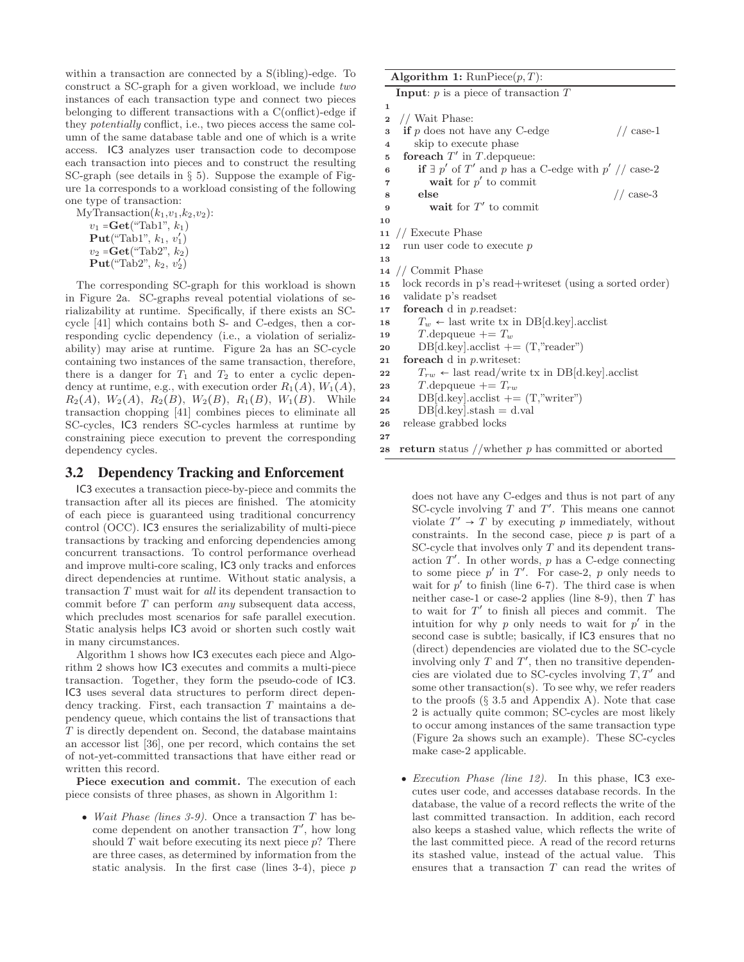within a transaction are connected by a S(ibling)-edge. To construct a SC-graph for a given workload, we include two instances of each transaction type and connect two pieces belonging to different transactions with a C(onflict)-edge if they potentially conflict, i.e., two pieces access the same column of the same database table and one of which is a write access. IC3 analyzes user transaction code to decompose each transaction into pieces and to construct the resulting SC-graph (see details in § [5\)](#page-7-0). Suppose the example of Figure [1a](#page-1-1) corresponds to a workload consisting of the following one type of transaction:

MyTransaction $(k_1,v_1,k_2,v_2)$ :  $v_1 = \mathbf{Get}("Tab1", k_1)$  $\overrightarrow{\textbf{Put}}$  ("Tab1",  $k_1, v_1'$ )  $v_2 = \text{Get}("Tab2", k_2)$  $\tilde{\mathbf{Put}}(\text{``Tab2''},\, k_2,\, v_2^{'})$ 

The corresponding SC-graph for this workload is shown in Figure [2a.](#page-2-4) SC-graphs reveal potential violations of serializability at runtime. Specifically, if there exists an SCcycle [\[41\]](#page-12-8) which contains both S- and C-edges, then a corresponding cyclic dependency (i.e., a violation of serializability) may arise at runtime. Figure [2a](#page-2-4) has an SC-cycle containing two instances of the same transaction, therefore, there is a danger for  $T_1$  and  $T_2$  to enter a cyclic dependency at runtime, e.g., with execution order  $R_1(A)$ ,  $W_1(A)$ ,  $R_2(A), W_2(A), R_2(B), W_2(B), R_1(B), W_1(B)$ . While transaction chopping [\[41\]](#page-12-8) combines pieces to eliminate all SC-cycles, IC3 renders SC-cycles harmless at runtime by constraining piece execution to prevent the corresponding dependency cycles.

#### <span id="page-3-0"></span>3.2 Dependency Tracking and Enforcement

IC3 executes a transaction piece-by-piece and commits the transaction after all its pieces are finished. The atomicity of each piece is guaranteed using traditional concurrency control (OCC). IC3 ensures the serializability of multi-piece transactions by tracking and enforcing dependencies among concurrent transactions. To control performance overhead and improve multi-core scaling, IC3 only tracks and enforces direct dependencies at runtime. Without static analysis, a transaction T must wait for all its dependent transaction to commit before T can perform any subsequent data access, which precludes most scenarios for safe parallel execution. Static analysis helps IC3 avoid or shorten such costly wait in many circumstances.

Algorithm [1](#page-3-1) shows how IC3 executes each piece and Algorithm [2](#page-4-1) shows how IC3 executes and commits a multi-piece transaction. Together, they form the pseudo-code of IC3. IC3 uses several data structures to perform direct dependency tracking. First, each transaction T maintains a dependency queue, which contains the list of transactions that T is directly dependent on. Second, the database maintains an accessor list [\[36\]](#page-12-10), one per record, which contains the set of not-yet-committed transactions that have either read or written this record.

Piece execution and commit. The execution of each piece consists of three phases, as shown in Algorithm [1:](#page-3-1)

• Wait Phase (lines 3-9). Once a transaction  $T$  has become dependent on another transaction  $T'$ , how long should  $T$  wait before executing its next piece  $p$ ? There are three cases, as determined by information from the static analysis. In the first case (lines  $3-4$ ), piece  $p$ 

<span id="page-3-1"></span>

|                         | Algorithm 1: $\text{RunPiece}(p, T)$ :                         |  |
|-------------------------|----------------------------------------------------------------|--|
|                         | <b>Input:</b> $p$ is a piece of transaction $T$                |  |
| $\mathbf 1$             |                                                                |  |
| $\overline{\mathbf{2}}$ | // Wait Phase:                                                 |  |
| 3                       | if $p$ does not have any C-edge<br>$//$ case-1                 |  |
| $\overline{4}$          | skip to execute phase                                          |  |
| 5                       | for each $T'$ in $T$ depqueue:                                 |  |
| 6                       | if $\exists p'$ of T' and p has a C-edge with $p'$ // case-2   |  |
| 7                       | wait for $p'$ to commit                                        |  |
| 8                       | else<br>$// case-3$                                            |  |
| 9                       | wait for $T'$ to commit                                        |  |
| 10                      |                                                                |  |
| 11                      | // Execute Phase                                               |  |
| 12                      | run user code to execute p                                     |  |
| 13                      |                                                                |  |
|                         | $14$ // Commit Phase                                           |  |
| 15                      | lock records in p's read+writeset (using a sorted order)       |  |
| 16                      | validate p's readset                                           |  |
| 17                      | foreach $d$ in $p$ readset:                                    |  |
| 18                      | $T_w \leftarrow$ last write tx in DB[d.key]. acclist           |  |
| 19                      | T. depqueue $+=T_w$                                            |  |
| 20                      | $DB[d-key].acclist += (T,"reader")$                            |  |
| 21                      | for each $d$ in $p$ writes et:                                 |  |
| 22                      | $T_{rw}$ $\leftarrow$ last read/write tx in DB[d.key]. acclist |  |
| 23                      | $T$ depqueue $\mathcal{F} = T_{rw}$                            |  |
| 24                      | $DB[d-key].acclist += (T,"writer")$                            |  |
| 25                      | $DB[d-key].stash = d.val$                                      |  |
| 26                      | release grabbed locks                                          |  |
| $27\,$                  |                                                                |  |

28 return status //whether  $p$  has committed or aborted

does not have any C-edges and thus is not part of any SC-cycle involving  $T$  and  $T'$ . This means one cannot violate  $T' \rightarrow T$  by executing p immediately, without constraints. In the second case, piece  $p$  is part of a SC-cycle that involves only  $T$  and its dependent transaction  $T'$ . In other words, p has a C-edge connecting to some piece  $p'$  in  $T'$ . For case-2, p only needs to wait for  $p'$  to finish (line 6-7). The third case is when neither case-1 or case-2 applies (line 8-9), then  $T$  has to wait for  $T'$  to finish all pieces and commit. The intuition for why  $p$  only needs to wait for  $p'$  in the second case is subtle; basically, if IC3 ensures that no (direct) dependencies are violated due to the SC-cycle involving only  $T$  and  $T'$ , then no transitive dependencies are violated due to SC-cycles involving  $T, T'$  and some other transaction(s). To see why, we refer readers to the proofs  $(\S$  [3.5](#page-5-1) and Appendix A). Note that case 2 is actually quite common; SC-cycles are most likely to occur among instances of the same transaction type (Figure [2a](#page-2-4) shows such an example). These SC-cycles make case-2 applicable.

• Execution Phase (line 12). In this phase,  $\overline{C}$  executes user code, and accesses database records. In the database, the value of a record reflects the write of the last committed transaction. In addition, each record also keeps a stashed value, which reflects the write of the last committed piece. A read of the record returns its stashed value, instead of the actual value. This ensures that a transaction T can read the writes of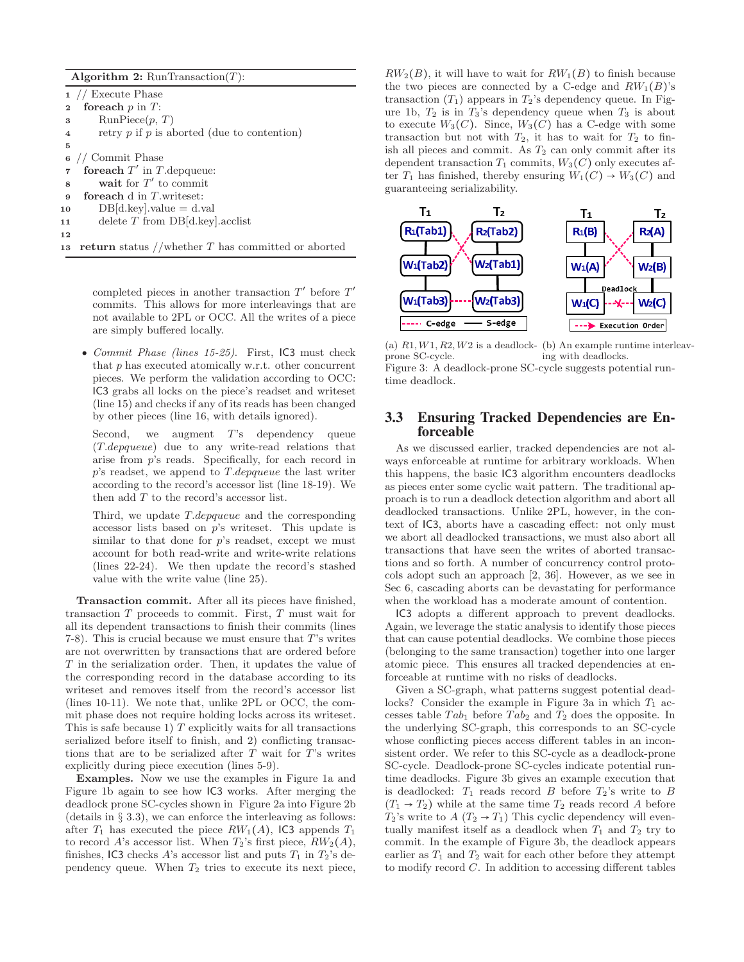<span id="page-4-1"></span>Algorithm 2:  $\text{RunTransaction}(T)$ :

<sup>1</sup> // Execute Phase 2 for each  $p$  in  $T$ : 3 Run $\text{Piece}(p, T)$ 4 retry  $p$  if  $p$  is aborted (due to contention) 5 <sup>6</sup> // Commit Phase  $\tau$  for each  $T'$  in T. depqueue: 8 wait for  $T'$  to commit <sup>9</sup> foreach d in T.writeset: 10  $DB[d.\text{key}].value = d.\text{val}$ <sup>11</sup> delete T from DB[d.key].acclist 12 13 return status //whether  $T$  has committed or aborted

> completed pieces in another transaction  $T'$  before  $T'$ commits. This allows for more interleavings that are not available to 2PL or OCC. All the writes of a piece are simply buffered locally.

• Commit Phase (lines 15-25). First, IC3 must check that p has executed atomically w.r.t. other concurrent pieces. We perform the validation according to OCC: IC3 grabs all locks on the piece's readset and writeset (line 15) and checks if any of its reads has been changed by other pieces (line 16, with details ignored).

Second, we augment T's dependency queue (T.depqueue) due to any write-read relations that arise from p's reads. Specifically, for each record in  $p$ 's readset, we append to  $T.depqueue$  the last writer according to the record's accessor list (line 18-19). We then add T to the record's accessor list.

Third, we update T.depqueue and the corresponding accessor lists based on p's writeset. This update is similar to that done for  $p$ 's readset, except we must account for both read-write and write-write relations (lines 22-24). We then update the record's stashed value with the write value (line 25).

Transaction commit. After all its pieces have finished, transaction  $T$  proceeds to commit. First,  $T$  must wait for all its dependent transactions to finish their commits (lines 7-8). This is crucial because we must ensure that T's writes are not overwritten by transactions that are ordered before T in the serialization order. Then, it updates the value of the corresponding record in the database according to its writeset and removes itself from the record's accessor list (lines 10-11). We note that, unlike 2PL or OCC, the commit phase does not require holding locks across its writeset. This is safe because 1)  $T$  explicitly waits for all transactions serialized before itself to finish, and 2) conflicting transactions that are to be serialized after  $T$  wait for  $T$ 's writes explicitly during piece execution (lines 5-9).

Examples. Now we use the examples in Figure [1a](#page-1-1) and Figure [1b](#page-1-1) again to see how IC3 works. After merging the deadlock prone SC-cycles shown in Figure [2a](#page-2-4) into Figure [2b](#page-2-4) (details in  $\S 3.3$ ), we can enforce the interleaving as follows: after  $T_1$  has executed the piece  $RW_1(A)$ , IC3 appends  $T_1$ to record A's accessor list. When  $T_2$ 's first piece,  $RW_2(A)$ , finishes, IC3 checks A's accessor list and puts  $T_1$  in  $T_2$ 's dependency queue. When  $T_2$  tries to execute its next piece,

 $RW<sub>2</sub>(B)$ , it will have to wait for  $RW<sub>1</sub>(B)$  to finish because the two pieces are connected by a C-edge and  $RW_1(B)$ 's transaction  $(T_1)$  appears in  $T_2$ 's dependency queue. In Fig-ure [1b,](#page-1-1)  $T_2$  is in  $T_3$ 's dependency queue when  $T_3$  is about to execute  $W_3(C)$ . Since,  $W_3(C)$  has a C-edge with some transaction but not with  $T_2$ , it has to wait for  $T_2$  to finish all pieces and commit. As  $T_2$  can only commit after its dependent transaction  $T_1$  commits,  $W_3(C)$  only executes after  $T_1$  has finished, thereby ensuring  $W_1(C) \rightarrow W_3(C)$  and guaranteeing serializability.

<span id="page-4-2"></span>

(a)  $R1, W1, R2, W2$  is a deadlock- (b) An example runtime interleavprone SC-cycle. ing with deadlocks. Figure 3: A deadlock-prone SC-cycle suggests potential runtime deadlock.

#### <span id="page-4-0"></span>3.3 Ensuring Tracked Dependencies are Enforceable

As we discussed earlier, tracked dependencies are not always enforceable at runtime for arbitrary workloads. When this happens, the basic IC3 algorithm encounters deadlocks as pieces enter some cyclic wait pattern. The traditional approach is to run a deadlock detection algorithm and abort all deadlocked transactions. Unlike 2PL, however, in the context of IC3, aborts have a cascading effect: not only must we abort all deadlocked transactions, we must also abort all transactions that have seen the writes of aborted transactions and so forth. A number of concurrency control protocols adopt such an approach [\[2,](#page-12-11) [36\]](#page-12-10). However, as we see in Sec [6,](#page-8-0) cascading aborts can be devastating for performance when the workload has a moderate amount of contention.

IC3 adopts a different approach to prevent deadlocks. Again, we leverage the static analysis to identify those pieces that can cause potential deadlocks. We combine those pieces (belonging to the same transaction) together into one larger atomic piece. This ensures all tracked dependencies at enforceable at runtime with no risks of deadlocks.

Given a SC-graph, what patterns suggest potential dead-locks? Consider the example in Figure [3a](#page-4-2) in which  $T_1$  accesses table  $Tab_1$  before  $Tab_2$  and  $T_2$  does the opposite. In the underlying SC-graph, this corresponds to an SC-cycle whose conflicting pieces access different tables in an inconsistent order. We refer to this SC-cycle as a deadlock-prone SC-cycle. Deadlock-prone SC-cycles indicate potential runtime deadlocks. Figure [3b](#page-4-2) gives an example execution that is deadlocked:  $T_1$  reads record B before  $T_2$ 's write to B  $(T_1 \rightarrow T_2)$  while at the same time  $T_2$  reads record A before  $T_2$ 's write to  $A(T_2 \rightarrow T_1)$  This cyclic dependency will eventually manifest itself as a deadlock when  $T_1$  and  $T_2$  try to commit. In the example of Figure [3b,](#page-4-2) the deadlock appears earlier as  $T_1$  and  $T_2$  wait for each other before they attempt to modify record C. In addition to accessing different tables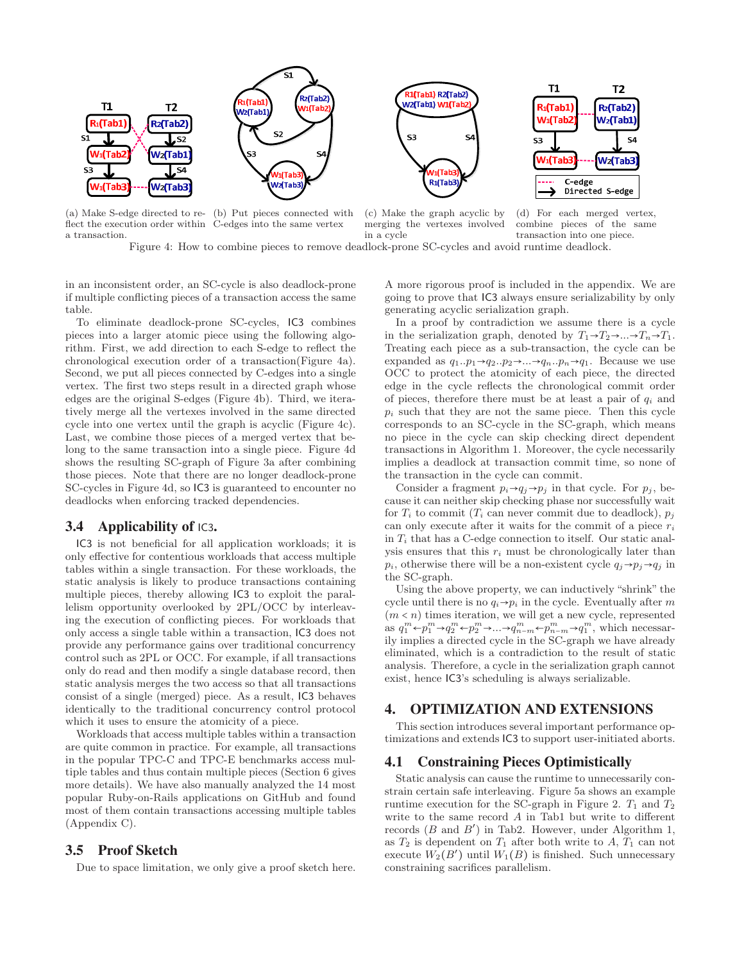<span id="page-5-2"></span>

(a) Make S-edge directed to re-(b) Put pieces connected with flect the execution order within C-edges into the same vertex a transaction.

(c) Make the graph acyclic by merging the vertexes involved in a cycle

(d) For each merged vertex, combine pieces of the same transaction into one piece.

T<sub>2</sub>

 $\leq \Delta$ 

Figure 4: How to combine pieces to remove deadlock-prone SC-cycles and avoid runtime deadlock.

in an inconsistent order, an SC-cycle is also deadlock-prone if multiple conflicting pieces of a transaction access the same table.

To eliminate deadlock-prone SC-cycles, IC3 combines pieces into a larger atomic piece using the following algorithm. First, we add direction to each S-edge to reflect the chronological execution order of a transaction(Figure [4a\)](#page-5-2). Second, we put all pieces connected by C-edges into a single vertex. The first two steps result in a directed graph whose edges are the original S-edges (Figure [4b\)](#page-5-2). Third, we iteratively merge all the vertexes involved in the same directed cycle into one vertex until the graph is acyclic (Figure [4c\)](#page-5-2). Last, we combine those pieces of a merged vertex that belong to the same transaction into a single piece. Figure [4d](#page-5-2) shows the resulting SC-graph of Figure [3a](#page-4-2) after combining those pieces. Note that there are no longer deadlock-prone SC-cycles in Figure [4d,](#page-5-2) so IC3 is guaranteed to encounter no deadlocks when enforcing tracked dependencies.

#### 3.4 Applicability of  $IC3$ .

IC3 is not beneficial for all application workloads; it is only effective for contentious workloads that access multiple tables within a single transaction. For these workloads, the static analysis is likely to produce transactions containing multiple pieces, thereby allowing IC3 to exploit the parallelism opportunity overlooked by 2PL/OCC by interleaving the execution of conflicting pieces. For workloads that only access a single table within a transaction, IC3 does not provide any performance gains over traditional concurrency control such as 2PL or OCC. For example, if all transactions only do read and then modify a single database record, then static analysis merges the two access so that all transactions consist of a single (merged) piece. As a result, IC3 behaves identically to the traditional concurrency control protocol which it uses to ensure the atomicity of a piece.

Workloads that access multiple tables within a transaction are quite common in practice. For example, all transactions in the popular TPC-C and TPC-E benchmarks access multiple tables and thus contain multiple pieces (Section [6](#page-8-0) gives more details). We have also manually analyzed the 14 most popular Ruby-on-Rails applications on GitHub and found most of them contain transactions accessing multiple tables (Appendix C).

#### <span id="page-5-1"></span>3.5 Proof Sketch

Due to space limitation, we only give a proof sketch here.

A more rigorous proof is included in the appendix. We are going to prove that IC3 always ensure serializability by only generating acyclic serialization graph.

In a proof by contradiction we assume there is a cycle in the serialization graph, denoted by  $T_1 \rightarrow T_2 \rightarrow \dots \rightarrow T_n \rightarrow T_1$ . Treating each piece as a sub-transaction, the cycle can be expanded as  $q_1 \nvert p_1 \rightarrow q_2 \nvert p_2 \rightarrow \ldots \rightarrow q_n \nvert p_n \rightarrow q_1$ . Because we use OCC to protect the atomicity of each piece, the directed edge in the cycle reflects the chronological commit order of pieces, therefore there must be at least a pair of  $q_i$  and  $p_i$  such that they are not the same piece. Then this cycle corresponds to an SC-cycle in the SC-graph, which means no piece in the cycle can skip checking direct dependent transactions in Algorithm 1. Moreover, the cycle necessarily implies a deadlock at transaction commit time, so none of the transaction in the cycle can commit.

Consider a fragment  $p_i \rightarrow q_j \rightarrow p_j$  in that cycle. For  $p_j$ , because it can neither skip checking phase nor successfully wait for  $T_i$  to commit  $(T_i$  can never commit due to deadlock),  $p_j$ can only execute after it waits for the commit of a piece  $r_i$ in  $T_i$  that has a C-edge connection to itself. Our static analysis ensures that this  $r_i$  must be chronologically later than  $p_i$ , otherwise there will be a non-existent cycle  $q_i \rightarrow p_i \rightarrow q_i$  in the SC-graph.

Using the above property, we can inductively "shrink" the cycle until there is no  $q_i \rightarrow p_i$  in the cycle. Eventually after m  $(m < n)$  times iteration, we will get a new cycle, represented as  $q_1^m \leftarrow p_1^m \rightarrow q_2^m \leftarrow p_2^m \rightarrow \ldots \rightarrow q_{n-m}^m \leftarrow p_{n-m}^m \rightarrow q_1^m$ , which necessarily implies a directed cycle in the SC-graph we have already eliminated, which is a contradiction to the result of static analysis. Therefore, a cycle in the serialization graph cannot exist, hence IC3's scheduling is always serializable.

#### 4. OPTIMIZATION AND EXTENSIONS

This section introduces several important performance optimizations and extends IC3 to support user-initiated aborts.

#### <span id="page-5-0"></span>4.1 Constraining Pieces Optimistically

Static analysis can cause the runtime to unnecessarily constrain certain safe interleaving. Figure [5a](#page-6-0) shows an example runtime execution for the SC-graph in Figure [2.](#page-2-4)  $T_1$  and  $T_2$ write to the same record A in Tab1 but write to different records  $(B \text{ and } B')$  in Tab2. However, under Algorithm [1,](#page-3-1) as  $T_2$  is dependent on  $T_1$  after both write to  $A$ ,  $T_1$  can not execute  $\overline{W}_2(B')$  until  $\overline{W}_1(B)$  is finished. Such unnecessary constraining sacrifices parallelism.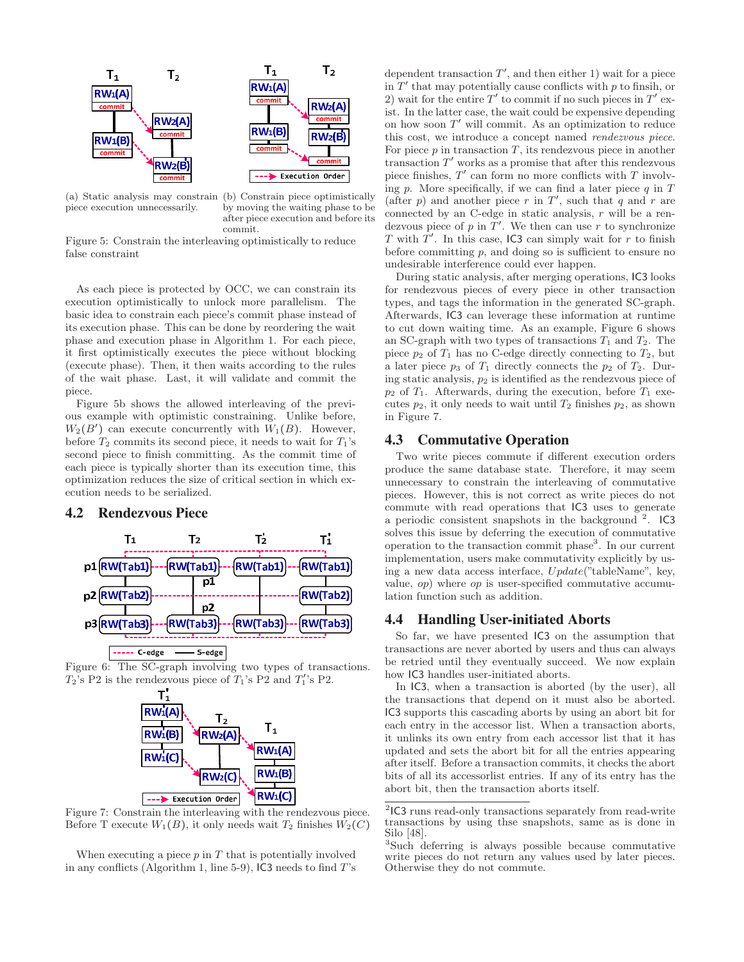<span id="page-6-0"></span>

(a) Static analysis may constrain (b) Constrain piece optimistically piece execution unnecessarily.

by moving the waiting phase to be after piece execution and before its commit.

Figure 5: Constrain the interleaving optimistically to reduce false constraint

As each piece is protected by OCC, we can constrain its execution optimistically to unlock more parallelism. The basic idea to constrain each piece's commit phase instead of its execution phase. This can be done by reordering the wait phase and execution phase in Algorithm [1.](#page-3-1) For each piece, it first optimistically executes the piece without blocking (execute phase). Then, it then waits according to the rules of the wait phase. Last, it will validate and commit the piece.

Figure [5b](#page-6-0) shows the allowed interleaving of the previous example with optimistic constraining. Unlike before,  $W_2(B')$  can execute concurrently with  $W_1(B)$ . However, before  $T_2$  commits its second piece, it needs to wait for  $T_1$ 's second piece to finish committing. As the commit time of each piece is typically shorter than its execution time, this optimization reduces the size of critical section in which execution needs to be serialized.

#### 4.2 Rendezvous Piece

<span id="page-6-1"></span>

Figure 6: The SC-graph involving two types of transactions.  $T_2$ 's P2 is the rendezvous piece of  $T_1$ 's P2 and  $T_1'$ 's P2.



Figure 7: Constrain the interleaving with the rendezvous piece. Before T execute  $W_1(B)$ , it only needs wait  $T_2$  finishes  $W_2(C)$ 

When executing a piece  $p$  in  $T$  that is potentially involved in any conflicts (Algorithm [1,](#page-3-1) line 5-9), IC3 needs to find  $T$ 's

dependent transaction  $T'$ , and then either 1) wait for a piece in  $T'$  that may potentially cause conflicts with p to finsih, or 2) wait for the entire  $T'$  to commit if no such pieces in  $T'$  exist. In the latter case, the wait could be expensive depending on how soon  $T'$  will commit. As an optimization to reduce this cost, we introduce a concept named rendezvous piece. For piece  $p$  in transaction  $T$ , its rendezvous piece in another transaction  $T'$  works as a promise that after this rendezvous piece finishes,  $T'$  can form no more conflicts with  $T$  involving p. More specifically, if we can find a later piece  $q$  in  $T$ (after p) and another piece r in  $T'$ , such that q and r are connected by an C-edge in static analysis,  $r$  will be a rendezvous piece of p in  $\overline{T}'$ . We then can use r to synchronize T with  $T'$ . In this case, IC3 can simply wait for r to finish before committing  $p$ , and doing so is sufficient to ensure no undesirable interference could ever happen.

During static analysis, after merging operations, IC3 looks for rendezvous pieces of every piece in other transaction types, and tags the information in the generated SC-graph. Afterwards, IC3 can leverage these information at runtime to cut down waiting time. As an example, Figure [6](#page-6-1) shows an SC-graph with two types of transactions  $T_1$  and  $T_2$ . The piece  $p_2$  of  $T_1$  has no C-edge directly connecting to  $T_2$ , but a later piece  $p_3$  of  $T_1$  directly connects the  $p_2$  of  $T_2$ . During static analysis,  $p_2$  is identified as the rendezvous piece of  $p_2$  of  $T_1$ . Afterwards, during the execution, before  $T_1$  executes  $p_2$ , it only needs to wait until  $T_2$  finishes  $p_2$ , as shown in Figure [7.](#page-6-1)

#### 4.3 Commutative Operation

Two write pieces commute if different execution orders produce the same database state. Therefore, it may seem unnecessary to constrain the interleaving of commutative pieces. However, this is not correct as write pieces do not commute with read operations that IC3 uses to generate a periodic consistent snapshots in the background  $^{2}$  $^{2}$  $^{2}$ . IC3 solves this issue by deferring the execution of commutative operation to the transaction commit phase[3](#page-6-3) . In our current implementation, users make commutativity explicitly by using a new data access interface, U pdate("tableName", key, value, op) where op is user-specified commutative accumulation function such as addition.

#### 4.4 Handling User-initiated Aborts

So far, we have presented IC3 on the assumption that transactions are never aborted by users and thus can always be retried until they eventually succeed. We now explain how IC3 handles user-initiated aborts.

In IC3, when a transaction is aborted (by the user), all the transactions that depend on it must also be aborted. IC3 supports this cascading aborts by using an abort bit for each entry in the accessor list. When a transaction aborts, it unlinks its own entry from each accessor list that it has updated and sets the abort bit for all the entries appearing after itself. Before a transaction commits, it checks the abort bits of all its accessorlist entries. If any of its entry has the abort bit, then the transaction aborts itself.

<span id="page-6-2"></span><sup>2</sup> IC3 runs read-only transactions separately from read-write transactions by using thse snapshots, same as is done in Silo [\[48](#page-13-1)].

<span id="page-6-3"></span><sup>3</sup> Such deferring is always possible because commutative write pieces do not return any values used by later pieces. Otherwise they do not commute.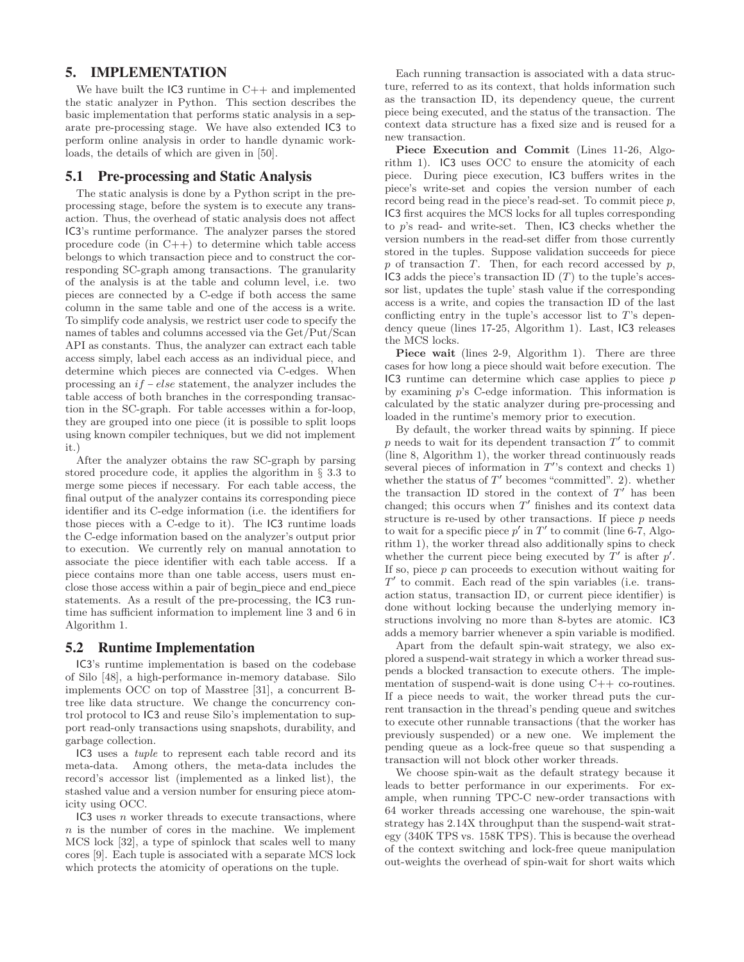#### <span id="page-7-0"></span>5. IMPLEMENTATION

We have built the  $IC3$  runtime in  $C++$  and implemented the static analyzer in Python. This section describes the basic implementation that performs static analysis in a separate pre-processing stage. We have also extended IC3 to perform online analysis in order to handle dynamic workloads, the details of which are given in [\[50\]](#page-13-8).

#### 5.1 Pre-processing and Static Analysis

The static analysis is done by a Python script in the preprocessing stage, before the system is to execute any transaction. Thus, the overhead of static analysis does not affect IC3's runtime performance. The analyzer parses the stored procedure code (in  $C_{++}$ ) to determine which table access belongs to which transaction piece and to construct the corresponding SC-graph among transactions. The granularity of the analysis is at the table and column level, i.e. two pieces are connected by a C-edge if both access the same column in the same table and one of the access is a write. To simplify code analysis, we restrict user code to specify the names of tables and columns accessed via the Get/Put/Scan API as constants. Thus, the analyzer can extract each table access simply, label each access as an individual piece, and determine which pieces are connected via C-edges. When processing an if − else statement, the analyzer includes the table access of both branches in the corresponding transaction in the SC-graph. For table accesses within a for-loop, they are grouped into one piece (it is possible to split loops using known compiler techniques, but we did not implement it.)

After the analyzer obtains the raw SC-graph by parsing stored procedure code, it applies the algorithm in § [3.3](#page-4-0) to merge some pieces if necessary. For each table access, the final output of the analyzer contains its corresponding piece identifier and its C-edge information (i.e. the identifiers for those pieces with a C-edge to it). The IC3 runtime loads the C-edge information based on the analyzer's output prior to execution. We currently rely on manual annotation to associate the piece identifier with each table access. If a piece contains more than one table access, users must enclose those access within a pair of begin piece and end piece statements. As a result of the pre-processing, the IC3 runtime has sufficient information to implement line 3 and 6 in Algorithm [1.](#page-3-1)

#### 5.2 Runtime Implementation

IC3's runtime implementation is based on the codebase of Silo [\[48](#page-13-1)], a high-performance in-memory database. Silo implements OCC on top of Masstree [\[31\]](#page-12-13), a concurrent Btree like data structure. We change the concurrency control protocol to IC3 and reuse Silo's implementation to support read-only transactions using snapshots, durability, and garbage collection.

IC3 uses a tuple to represent each table record and its meta-data. Among others, the meta-data includes the record's accessor list (implemented as a linked list), the stashed value and a version number for ensuring piece atomicity using OCC.

 $IC3$  uses *n* worker threads to execute transactions, where  $n$  is the number of cores in the machine. We implement MCS lock [\[32\]](#page-12-14), a type of spinlock that scales well to many cores [\[9\]](#page-12-15). Each tuple is associated with a separate MCS lock which protects the atomicity of operations on the tuple.

Each running transaction is associated with a data structure, referred to as its context, that holds information such as the transaction ID, its dependency queue, the current piece being executed, and the status of the transaction. The context data structure has a fixed size and is reused for a new transaction.

Piece Execution and Commit (Lines 11-26, Algorithm [1\)](#page-3-1). IC3 uses OCC to ensure the atomicity of each piece. During piece execution, IC3 buffers writes in the piece's write-set and copies the version number of each record being read in the piece's read-set. To commit piece  $p$ , IC3 first acquires the MCS locks for all tuples corresponding to p's read- and write-set. Then, IC3 checks whether the version numbers in the read-set differ from those currently stored in the tuples. Suppose validation succeeds for piece  $p$  of transaction  $T$ . Then, for each record accessed by  $p$ , IC3 adds the piece's transaction ID  $(T)$  to the tuple's accessor list, updates the tuple' stash value if the corresponding access is a write, and copies the transaction ID of the last conflicting entry in the tuple's accessor list to  $T$ 's dependency queue (lines 17-25, Algorithm [1\)](#page-3-1). Last, IC3 releases the MCS locks.

Piece wait (lines 2-9, Algorithm [1\)](#page-3-1). There are three cases for how long a piece should wait before execution. The IC3 runtime can determine which case applies to piece  $p$ by examining p's C-edge information. This information is calculated by the static analyzer during pre-processing and loaded in the runtime's memory prior to execution.

By default, the worker thread waits by spinning. If piece  $p$  needs to wait for its dependent transaction  $T'$  to commit (line 8, Algorithm [1\)](#page-3-1), the worker thread continuously reads several pieces of information in  $T$ 's context and checks 1) whether the status of  $T'$  becomes "committed". 2). whether the transaction ID stored in the context of  $T'$  has been changed; this occurs when  $T'$  finishes and its context data structure is re-used by other transactions. If piece  $p$  needs to wait for a specific piece  $p'$  in  $T'$  to commit (line 6-7, Algorithm [1\)](#page-3-1), the worker thread also additionally spins to check whether the current piece being executed by  $T'$  is after  $p'$ . If so, piece  $p$  can proceeds to execution without waiting for  $T'$  to commit. Each read of the spin variables (i.e. transaction status, transaction ID, or current piece identifier) is done without locking because the underlying memory instructions involving no more than 8-bytes are atomic. IC3 adds a memory barrier whenever a spin variable is modified.

Apart from the default spin-wait strategy, we also explored a suspend-wait strategy in which a worker thread suspends a blocked transaction to execute others. The implementation of suspend-wait is done using C++ co-routines. If a piece needs to wait, the worker thread puts the current transaction in the thread's pending queue and switches to execute other runnable transactions (that the worker has previously suspended) or a new one. We implement the pending queue as a lock-free queue so that suspending a transaction will not block other worker threads.

We choose spin-wait as the default strategy because it leads to better performance in our experiments. For example, when running TPC-C new-order transactions with 64 worker threads accessing one warehouse, the spin-wait strategy has 2.14X throughput than the suspend-wait strategy (340K TPS vs. 158K TPS). This is because the overhead of the context switching and lock-free queue manipulation out-weights the overhead of spin-wait for short waits which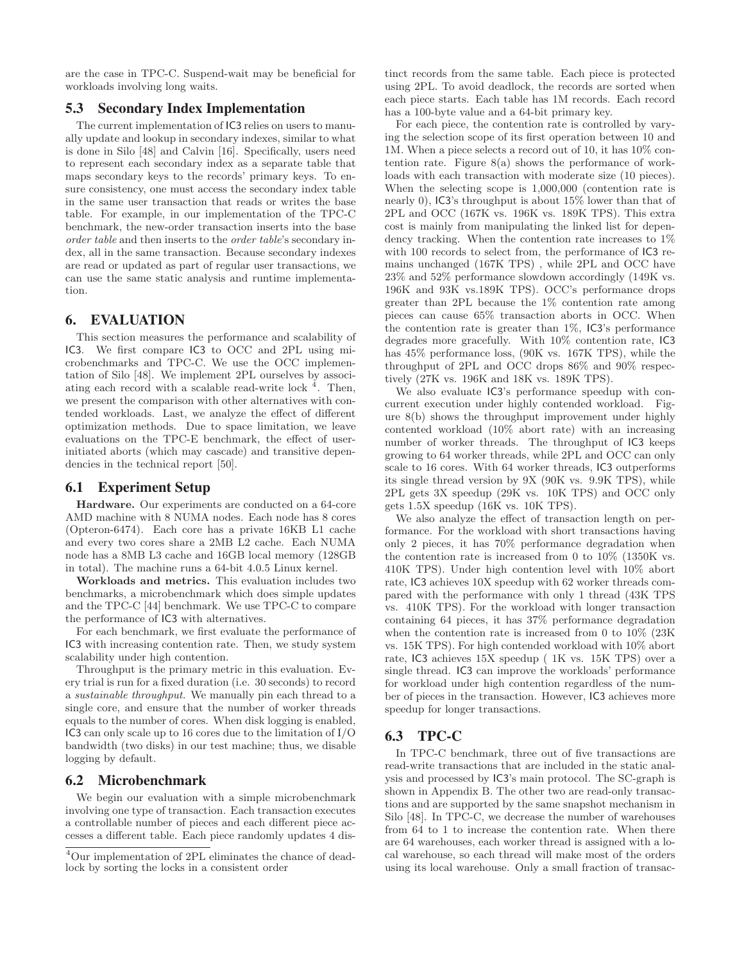are the case in TPC-C. Suspend-wait may be beneficial for workloads involving long waits.

#### 5.3 Secondary Index Implementation

The current implementation of IC3 relies on users to manually update and lookup in secondary indexes, similar to what is done in Silo [\[48](#page-13-1)] and Calvin [\[16](#page-12-12)]. Specifically, users need to represent each secondary index as a separate table that maps secondary keys to the records' primary keys. To ensure consistency, one must access the secondary index table in the same user transaction that reads or writes the base table. For example, in our implementation of the TPC-C benchmark, the new-order transaction inserts into the base order table and then inserts to the order table's secondary index, all in the same transaction. Because secondary indexes are read or updated as part of regular user transactions, we can use the same static analysis and runtime implementation.

#### <span id="page-8-0"></span>6. EVALUATION

This section measures the performance and scalability of IC3. We first compare IC3 to OCC and 2PL using microbenchmarks and TPC-C. We use the OCC implementation of Silo [\[48\]](#page-13-1). We implement 2PL ourselves by associating each record with a scalable read-write lock  $\frac{4}{3}$  $\frac{4}{3}$  $\frac{4}{3}$ . Then, we present the comparison with other alternatives with contended workloads. Last, we analyze the effect of different optimization methods. Due to space limitation, we leave evaluations on the TPC-E benchmark, the effect of userinitiated aborts (which may cascade) and transitive dependencies in the technical report [\[50](#page-13-8)].

#### 6.1 Experiment Setup

Hardware. Our experiments are conducted on a 64-core AMD machine with 8 NUMA nodes. Each node has 8 cores (Opteron-6474). Each core has a private 16KB L1 cache and every two cores share a 2MB L2 cache. Each NUMA node has a 8MB L3 cache and 16GB local memory (128GB in total). The machine runs a 64-bit 4.0.5 Linux kernel.

Workloads and metrics. This evaluation includes two benchmarks, a microbenchmark which does simple updates and the TPC-C [\[44](#page-13-6)] benchmark. We use TPC-C to compare the performance of IC3 with alternatives.

For each benchmark, we first evaluate the performance of IC3 with increasing contention rate. Then, we study system scalability under high contention.

Throughput is the primary metric in this evaluation. Every trial is run for a fixed duration (i.e. 30 seconds) to record a sustainable throughput. We manually pin each thread to a single core, and ensure that the number of worker threads equals to the number of cores. When disk logging is enabled, IC3 can only scale up to 16 cores due to the limitation of I/O bandwidth (two disks) in our test machine; thus, we disable logging by default.

#### 6.2 Microbenchmark

We begin our evaluation with a simple microbenchmark involving one type of transaction. Each transaction executes a controllable number of pieces and each different piece accesses a different table. Each piece randomly updates 4 distinct records from the same table. Each piece is protected using 2PL. To avoid deadlock, the records are sorted when each piece starts. Each table has 1M records. Each record has a 100-byte value and a 64-bit primary key.

For each piece, the contention rate is controlled by varying the selection scope of its first operation between 10 and 1M. When a piece selects a record out of 10, it has 10% contention rate. Figure  $8(a)$  shows the performance of workloads with each transaction with moderate size (10 pieces). When the selecting scope is 1,000,000 (contention rate is nearly 0), IC3's throughput is about 15% lower than that of 2PL and OCC (167K vs. 196K vs. 189K TPS). This extra cost is mainly from manipulating the linked list for dependency tracking. When the contention rate increases to 1% with 100 records to select from, the performance of IC3 remains unchanged (167K TPS) , while 2PL and OCC have 23% and 52% performance slowdown accordingly (149K vs. 196K and 93K vs.189K TPS). OCC's performance drops greater than 2PL because the 1% contention rate among pieces can cause 65% transaction aborts in OCC. When the contention rate is greater than 1%, IC3's performance degrades more gracefully. With 10% contention rate, IC3 has 45% performance loss, (90K vs. 167K TPS), while the throughput of 2PL and OCC drops 86% and 90% respectively (27K vs. 196K and 18K vs. 189K TPS).

We also evaluate IC3's performance speedup with concurrent execution under highly contended workload. Figure [8\(](#page-9-0)b) shows the throughput improvement under highly contented workload (10% abort rate) with an increasing number of worker threads. The throughput of IC3 keeps growing to 64 worker threads, while 2PL and OCC can only scale to 16 cores. With 64 worker threads, IC3 outperforms its single thread version by 9X (90K vs. 9.9K TPS), while 2PL gets 3X speedup (29K vs. 10K TPS) and OCC only gets 1.5X speedup (16K vs. 10K TPS).

We also analyze the effect of transaction length on performance. For the workload with short transactions having only 2 pieces, it has 70% performance degradation when the contention rate is increased from 0 to 10% (1350K vs. 410K TPS). Under high contention level with 10% abort rate, IC3 achieves 10X speedup with 62 worker threads compared with the performance with only 1 thread (43K TPS vs. 410K TPS). For the workload with longer transaction containing 64 pieces, it has 37% performance degradation when the contention rate is increased from 0 to 10% (23K vs. 15K TPS). For high contended workload with 10% abort rate, IC3 achieves 15X speedup ( 1K vs. 15K TPS) over a single thread. IC3 can improve the workloads' performance for workload under high contention regardless of the number of pieces in the transaction. However, IC3 achieves more speedup for longer transactions.

#### 6.3 TPC-C

In TPC-C benchmark, three out of five transactions are read-write transactions that are included in the static analysis and processed by IC3's main protocol. The SC-graph is shown in Appendix B. The other two are read-only transactions and are supported by the same snapshot mechanism in Silo [\[48](#page-13-1)]. In TPC-C, we decrease the number of warehouses from 64 to 1 to increase the contention rate. When there are 64 warehouses, each worker thread is assigned with a local warehouse, so each thread will make most of the orders using its local warehouse. Only a small fraction of transac-

<span id="page-8-1"></span><sup>4</sup>Our implementation of 2PL eliminates the chance of deadlock by sorting the locks in a consistent order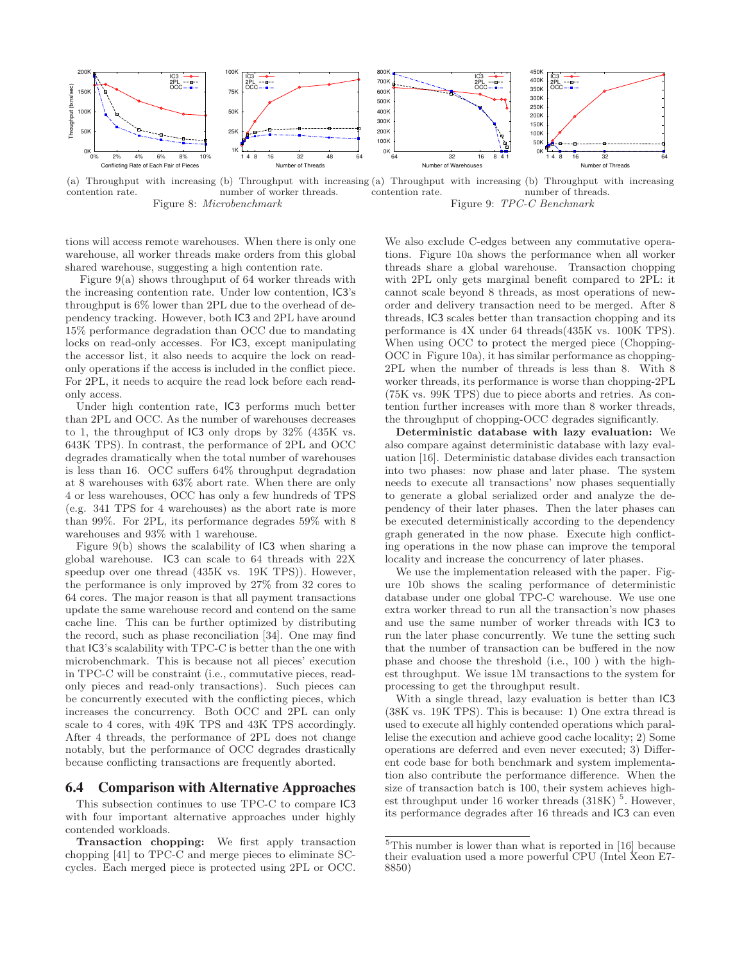<span id="page-9-0"></span>

(a) Throughput with increasing (b) Throughput with increasing (a) Throughput with increasing (b) Throughput with increasing contention rate. number of worker threads. Figure 8: Microbenchmark contention rate. number of threads. Figure 9: TPC-C Benchmark

tions will access remote warehouses. When there is only one warehouse, all worker threads make orders from this global shared warehouse, suggesting a high contention rate.

Figure [9\(](#page-9-0)a) shows throughput of 64 worker threads with the increasing contention rate. Under low contention, IC3's throughput is 6% lower than 2PL due to the overhead of dependency tracking. However, both IC3 and 2PL have around 15% performance degradation than OCC due to mandating locks on read-only accesses. For IC3, except manipulating the accessor list, it also needs to acquire the lock on readonly operations if the access is included in the conflict piece. For 2PL, it needs to acquire the read lock before each readonly access.

Under high contention rate, IC3 performs much better than 2PL and OCC. As the number of warehouses decreases to 1, the throughput of IC3 only drops by 32% (435K vs. 643K TPS). In contrast, the performance of 2PL and OCC degrades dramatically when the total number of warehouses is less than 16. OCC suffers 64% throughput degradation at 8 warehouses with 63% abort rate. When there are only 4 or less warehouses, OCC has only a few hundreds of TPS (e.g. 341 TPS for 4 warehouses) as the abort rate is more than 99%. For 2PL, its performance degrades 59% with 8 warehouses and 93% with 1 warehouse.

Figure [9\(](#page-9-0)b) shows the scalability of IC3 when sharing a global warehouse. IC3 can scale to 64 threads with 22X speedup over one thread (435K vs. 19K TPS)). However, the performance is only improved by 27% from 32 cores to 64 cores. The major reason is that all payment transactions update the same warehouse record and contend on the same cache line. This can be further optimized by distributing the record, such as phase reconciliation [\[34\]](#page-12-3). One may find that IC3's scalability with TPC-C is better than the one with microbenchmark. This is because not all pieces' execution in TPC-C will be constraint (i.e., commutative pieces, readonly pieces and read-only transactions). Such pieces can be concurrently executed with the conflicting pieces, which increases the concurrency. Both OCC and 2PL can only scale to 4 cores, with 49K TPS and 43K TPS accordingly. After 4 threads, the performance of 2PL does not change notably, but the performance of OCC degrades drastically because conflicting transactions are frequently aborted.

#### 6.4 Comparison with Alternative Approaches

This subsection continues to use TPC-C to compare IC3 with four important alternative approaches under highly contended workloads.

We also exclude C-edges between any commutative operations. Figure [10a](#page-10-0) shows the performance when all worker threads share a global warehouse. Transaction chopping with 2PL only gets marginal benefit compared to 2PL: it cannot scale beyond 8 threads, as most operations of neworder and delivery transaction need to be merged. After 8 threads, IC3 scales better than transaction chopping and its performance is 4X under 64 threads(435K vs. 100K TPS). When using OCC to protect the merged piece (Chopping-OCC in Figure [10a\)](#page-10-0), it has similar performance as chopping-2PL when the number of threads is less than 8. With 8 worker threads, its performance is worse than chopping-2PL (75K vs. 99K TPS) due to piece aborts and retries. As contention further increases with more than 8 worker threads, the throughput of chopping-OCC degrades significantly.

Deterministic database with lazy evaluation: We also compare against deterministic database with lazy evaluation [\[16\]](#page-12-12). Deterministic database divides each transaction into two phases: now phase and later phase. The system needs to execute all transactions' now phases sequentially to generate a global serialized order and analyze the dependency of their later phases. Then the later phases can be executed deterministically according to the dependency graph generated in the now phase. Execute high conflicting operations in the now phase can improve the temporal locality and increase the concurrency of later phases.

We use the implementation released with the paper. Figure [10b](#page-10-0) shows the scaling performance of deterministic database under one global TPC-C warehouse. We use one extra worker thread to run all the transaction's now phases and use the same number of worker threads with IC3 to run the later phase concurrently. We tune the setting such that the number of transaction can be buffered in the now phase and choose the threshold (i.e., 100 ) with the highest throughput. We issue 1M transactions to the system for processing to get the throughput result.

With a single thread, lazy evaluation is better than IC3 (38K vs. 19K TPS). This is because: 1) One extra thread is used to execute all highly contended operations which parallelise the execution and achieve good cache locality; 2) Some operations are deferred and even never executed; 3) Different code base for both benchmark and system implementation also contribute the performance difference. When the size of transaction batch is 100, their system achieves high-est throughput under 16 worker threads (318K)<sup>[5](#page-9-1)</sup>. However, its performance degrades after 16 threads and IC3 can even

Transaction chopping: We first apply transaction chopping [\[41\]](#page-12-8) to TPC-C and merge pieces to eliminate SCcycles. Each merged piece is protected using 2PL or OCC.

<span id="page-9-1"></span><sup>5</sup>This number is lower than what is reported in [\[16\]](#page-12-12) because their evaluation used a more powerful CPU (Intel Xeon E7- 8850)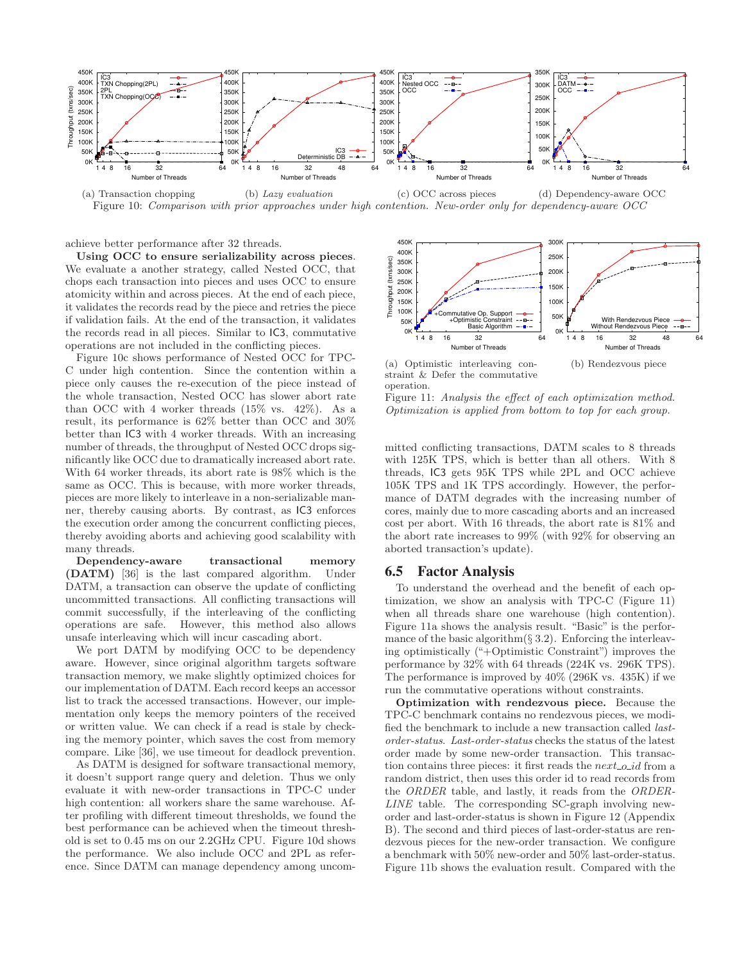<span id="page-10-0"></span>

Figure 10: Comparison with prior approaches under high contention. New-order only for dependency-aware OCC

achieve better performance after 32 threads.

Using OCC to ensure serializability across pieces. We evaluate a another strategy, called Nested OCC, that chops each transaction into pieces and uses OCC to ensure atomicity within and across pieces. At the end of each piece, it validates the records read by the piece and retries the piece if validation fails. At the end of the transaction, it validates the records read in all pieces. Similar to IC3, commutative operations are not included in the conflicting pieces.

Figure [10c](#page-10-0) shows performance of Nested OCC for TPC-C under high contention. Since the contention within a piece only causes the re-execution of the piece instead of the whole transaction, Nested OCC has slower abort rate than OCC with 4 worker threads  $(15\% \text{ vs. } 42\%)$ . As a result, its performance is 62% better than OCC and 30% better than IC3 with 4 worker threads. With an increasing number of threads, the throughput of Nested OCC drops significantly like OCC due to dramatically increased abort rate. With 64 worker threads, its abort rate is 98% which is the same as OCC. This is because, with more worker threads, pieces are more likely to interleave in a non-serializable manner, thereby causing aborts. By contrast, as IC3 enforces the execution order among the concurrent conflicting pieces, thereby avoiding aborts and achieving good scalability with many threads.

Dependency-aware transactional memory (DATM) [\[36\]](#page-12-10) is the last compared algorithm. Under DATM, a transaction can observe the update of conflicting uncommitted transactions. All conflicting transactions will commit successfully, if the interleaving of the conflicting operations are safe. However, this method also allows unsafe interleaving which will incur cascading abort.

We port DATM by modifying OCC to be dependency aware. However, since original algorithm targets software transaction memory, we make slightly optimized choices for our implementation of DATM. Each record keeps an accessor list to track the accessed transactions. However, our implementation only keeps the memory pointers of the received or written value. We can check if a read is stale by checking the memory pointer, which saves the cost from memory compare. Like [\[36\]](#page-12-10), we use timeout for deadlock prevention.

As DATM is designed for software transactional memory, it doesn't support range query and deletion. Thus we only evaluate it with new-order transactions in TPC-C under high contention: all workers share the same warehouse. After profiling with different timeout thresholds, we found the best performance can be achieved when the timeout threshold is set to 0.45 ms on our 2.2GHz CPU. Figure [10d](#page-10-0) shows the performance. We also include OCC and 2PL as reference. Since DATM can manage dependency among uncom-

<span id="page-10-1"></span>

straint & Defer the commutative operation. (b) Rendezvous piece

Figure 11: Analysis the effect of each optimization method. Optimization is applied from bottom to top for each group.

mitted conflicting transactions, DATM scales to 8 threads with 125K TPS, which is better than all others. With 8 threads, IC3 gets 95K TPS while 2PL and OCC achieve 105K TPS and 1K TPS accordingly. However, the performance of DATM degrades with the increasing number of cores, mainly due to more cascading aborts and an increased cost per abort. With 16 threads, the abort rate is 81% and the abort rate increases to 99% (with 92% for observing an aborted transaction's update).

#### 6.5 Factor Analysis

To understand the overhead and the benefit of each optimization, we show an analysis with TPC-C (Figure [11\)](#page-10-1) when all threads share one warehouse (high contention). Figure [11a](#page-10-1) shows the analysis result. "Basic" is the performance of the basic algorithm $(\S 3.2)$  $(\S 3.2)$ . Enforcing the interleaving optimistically ("+Optimistic Constraint") improves the performance by 32% with 64 threads (224K vs. 296K TPS). The performance is improved by 40% (296K vs. 435K) if we run the commutative operations without constraints.

Optimization with rendezvous piece. Because the TPC-C benchmark contains no rendezvous pieces, we modified the benchmark to include a new transaction called lastorder-status. Last-order-status checks the status of the latest order made by some new-order transaction. This transaction contains three pieces: it first reads the  $next\_o_id$  from a random district, then uses this order id to read records from the ORDER table, and lastly, it reads from the ORDER-LINE table. The corresponding SC-graph involving neworder and last-order-status is shown in Figure [12](#page-14-0) (Appendix B). The second and third pieces of last-order-status are rendezvous pieces for the new-order transaction. We configure a benchmark with 50% new-order and 50% last-order-status. Figure [11b](#page-10-1) shows the evaluation result. Compared with the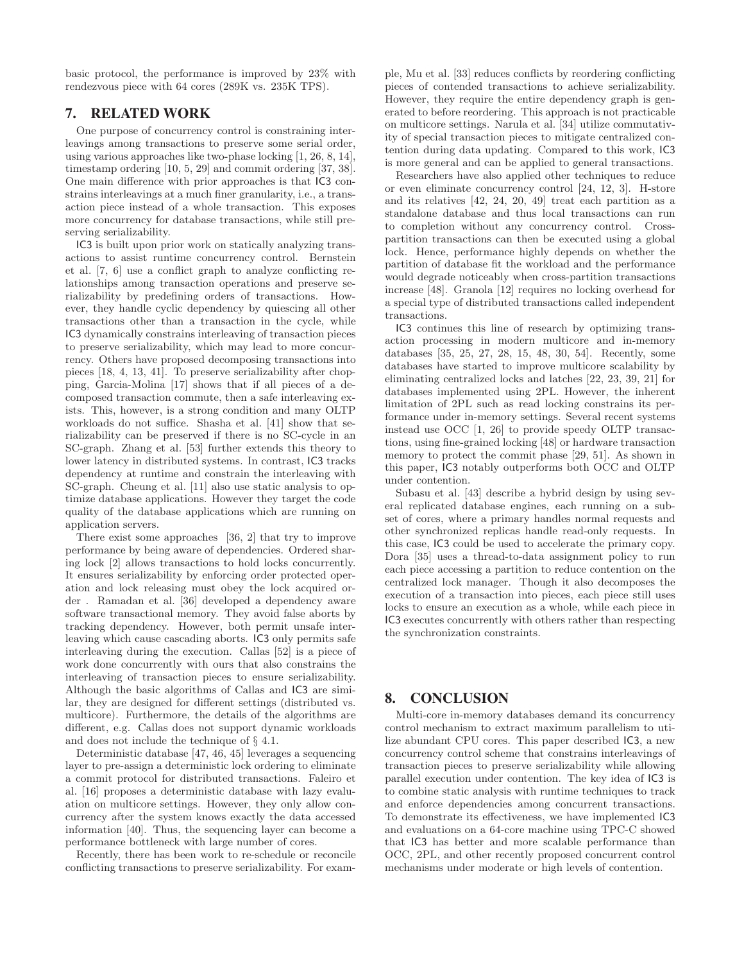basic protocol, the performance is improved by 23% with rendezvous piece with 64 cores (289K vs. 235K TPS).

## <span id="page-11-0"></span>7. RELATED WORK

One purpose of concurrency control is constraining interleavings among transactions to preserve some serial order, using various approaches like two-phase locking [\[1](#page-12-16), [26](#page-12-6), [8,](#page-12-17) [14\]](#page-12-18), timestamp ordering [\[10,](#page-12-19) [5](#page-12-4), [29\]](#page-12-20) and commit ordering [\[37,](#page-12-21) [38\]](#page-12-22). One main difference with prior approaches is that IC3 constrains interleavings at a much finer granularity, i.e., a transaction piece instead of a whole transaction. This exposes more concurrency for database transactions, while still preserving serializability.

IC3 is built upon prior work on statically analyzing transactions to assist runtime concurrency control. Bernstein et al. [\[7,](#page-12-23) [6\]](#page-12-24) use a conflict graph to analyze conflicting relationships among transaction operations and preserve serializability by predefining orders of transactions. However, they handle cyclic dependency by quiescing all other transactions other than a transaction in the cycle, while IC3 dynamically constrains interleaving of transaction pieces to preserve serializability, which may lead to more concurrency. Others have proposed decomposing transactions into pieces [\[18](#page-12-25), [4,](#page-12-7) [13,](#page-12-26) [41\]](#page-12-8). To preserve serializability after chopping, Garcia-Molina [\[17](#page-12-27)] shows that if all pieces of a decomposed transaction commute, then a safe interleaving exists. This, however, is a strong condition and many OLTP workloads do not suffice. Shasha et al. [\[41](#page-12-8)] show that serializability can be preserved if there is no SC-cycle in an SC-graph. Zhang et al. [\[53\]](#page-13-7) further extends this theory to lower latency in distributed systems. In contrast, IC3 tracks dependency at runtime and constrain the interleaving with SC-graph. Cheung et al. [\[11](#page-12-28)] also use static analysis to optimize database applications. However they target the code quality of the database applications which are running on application servers.

There exist some approaches [\[36,](#page-12-10) [2](#page-12-11)] that try to improve performance by being aware of dependencies. Ordered sharing lock [\[2](#page-12-11)] allows transactions to hold locks concurrently. It ensures serializability by enforcing order protected operation and lock releasing must obey the lock acquired order . Ramadan et al. [\[36\]](#page-12-10) developed a dependency aware software transactional memory. They avoid false aborts by tracking dependency. However, both permit unsafe interleaving which cause cascading aborts. IC3 only permits safe interleaving during the execution. Callas [\[52](#page-13-9)] is a piece of work done concurrently with ours that also constrains the interleaving of transaction pieces to ensure serializability. Although the basic algorithms of Callas and IC3 are similar, they are designed for different settings (distributed vs. multicore). Furthermore, the details of the algorithms are different, e.g. Callas does not support dynamic workloads and does not include the technique of § [4.1.](#page-5-0)

Deterministic database [\[47,](#page-13-4) [46,](#page-13-10) [45](#page-13-5)] leverages a sequencing layer to pre-assign a deterministic lock ordering to eliminate a commit protocol for distributed transactions. Faleiro et al. [\[16](#page-12-12)] proposes a deterministic database with lazy evaluation on multicore settings. However, they only allow concurrency after the system knows exactly the data accessed information [\[40\]](#page-12-29). Thus, the sequencing layer can become a performance bottleneck with large number of cores.

Recently, there has been work to re-schedule or reconcile conflicting transactions to preserve serializability. For example, Mu et al. [\[33\]](#page-12-9) reduces conflicts by reordering conflicting pieces of contended transactions to achieve serializability. However, they require the entire dependency graph is generated to before reordering. This approach is not practicable on multicore settings. Narula et al. [\[34](#page-12-3)] utilize commutativity of special transaction pieces to mitigate centralized contention during data updating. Compared to this work, IC3 is more general and can be applied to general transactions.

Researchers have also applied other techniques to reduce or even eliminate concurrency control [\[24,](#page-12-30) [12](#page-12-31), [3](#page-12-32)]. H-store and its relatives [\[42](#page-13-0), [24](#page-12-30), [20](#page-12-1), [49](#page-13-11)] treat each partition as a standalone database and thus local transactions can run to completion without any concurrency control. Crosspartition transactions can then be executed using a global lock. Hence, performance highly depends on whether the partition of database fit the workload and the performance would degrade noticeably when cross-partition transactions increase [\[48\]](#page-13-1). Granola [\[12\]](#page-12-31) requires no locking overhead for a special type of distributed transactions called independent transactions.

IC3 continues this line of research by optimizing transaction processing in modern multicore and in-memory databases [\[35,](#page-12-33) [25](#page-12-34), [27](#page-12-2), [28](#page-12-35), [15,](#page-12-0) [48,](#page-13-1) [30,](#page-12-36) [54\]](#page-13-3). Recently, some databases have started to improve multicore scalability by eliminating centralized locks and latches [\[22,](#page-12-37) [23](#page-12-38), [39](#page-12-39), [21](#page-12-40)] for databases implemented using 2PL. However, the inherent limitation of 2PL such as read locking constrains its performance under in-memory settings. Several recent systems instead use OCC [\[1](#page-12-16), [26\]](#page-12-6) to provide speedy OLTP transactions, using fine-grained locking [\[48](#page-13-1)] or hardware transaction memory to protect the commit phase [\[29](#page-12-20), [51](#page-13-2)]. As shown in this paper, IC3 notably outperforms both OCC and OLTP under contention.

Subasu et al. [\[43](#page-13-12)] describe a hybrid design by using several replicated database engines, each running on a subset of cores, where a primary handles normal requests and other synchronized replicas handle read-only requests. In this case, IC3 could be used to accelerate the primary copy. Dora [\[35\]](#page-12-33) uses a thread-to-data assignment policy to run each piece accessing a partition to reduce contention on the centralized lock manager. Though it also decomposes the execution of a transaction into pieces, each piece still uses locks to ensure an execution as a whole, while each piece in IC3 executes concurrently with others rather than respecting the synchronization constraints.

## 8. CONCLUSION

Multi-core in-memory databases demand its concurrency control mechanism to extract maximum parallelism to utilize abundant CPU cores. This paper described IC3, a new concurrency control scheme that constrains interleavings of transaction pieces to preserve serializability while allowing parallel execution under contention. The key idea of IC3 is to combine static analysis with runtime techniques to track and enforce dependencies among concurrent transactions. To demonstrate its effectiveness, we have implemented IC3 and evaluations on a 64-core machine using TPC-C showed that IC3 has better and more scalable performance than OCC, 2PL, and other recently proposed concurrent control mechanisms under moderate or high levels of contention.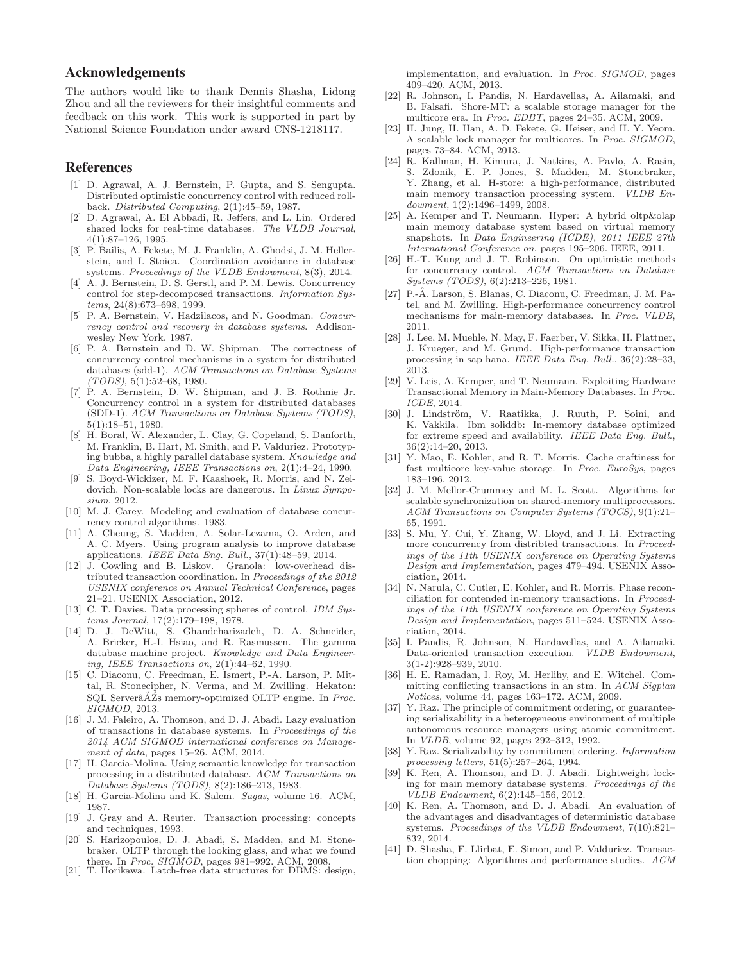#### Acknowledgements

The authors would like to thank Dennis Shasha, Lidong Zhou and all the reviewers for their insightful comments and feedback on this work. This work is supported in part by National Science Foundation under award CNS-1218117.

#### References

- <span id="page-12-16"></span>[1] D. Agrawal, A. J. Bernstein, P. Gupta, and S. Sengupta. Distributed optimistic concurrency control with reduced rollback. Distributed Computing, 2(1):45–59, 1987.
- <span id="page-12-11"></span>[2] D. Agrawal, A. El Abbadi, R. Jeffers, and L. Lin. Ordered shared locks for real-time databases. The VLDB Journal, 4(1):87–126, 1995.
- <span id="page-12-32"></span>[3] P. Bailis, A. Fekete, M. J. Franklin, A. Ghodsi, J. M. Hellerstein, and I. Stoica. Coordination avoidance in database systems. Proceedings of the VLDB Endowment, 8(3), 2014.
- <span id="page-12-7"></span>[4] A. J. Bernstein, D. S. Gerstl, and P. M. Lewis. Concurrency control for step-decomposed transactions. Information Systems, 24(8):673–698, 1999.
- <span id="page-12-4"></span>[5] P. A. Bernstein, V. Hadzilacos, and N. Goodman. Concurrency control and recovery in database systems. Addisonwesley New York, 1987.
- <span id="page-12-24"></span>[6] P. A. Bernstein and D. W. Shipman. The correctness of concurrency control mechanisms in a system for distributed databases (sdd-1). ACM Transactions on Database Systems  $(TODS), 5(1):52-68, 1980.$
- <span id="page-12-23"></span>[7] P. A. Bernstein, D. W. Shipman, and J. B. Rothnie Jr. Concurrency control in a system for distributed databases (SDD-1). ACM Transactions on Database Systems (TODS), 5(1):18–51, 1980.
- <span id="page-12-17"></span>[8] H. Boral, W. Alexander, L. Clay, G. Copeland, S. Danforth, M. Franklin, B. Hart, M. Smith, and P. Valduriez. Prototyping bubba, a highly parallel database system. Knowledge and Data Engineering, IEEE Transactions on, 2(1):4–24, 1990.
- <span id="page-12-15"></span>[9] S. Boyd-Wickizer, M. F. Kaashoek, R. Morris, and N. Zeldovich. Non-scalable locks are dangerous. In Linux Symposium, 2012.
- <span id="page-12-19"></span>[10] M. J. Carey. Modeling and evaluation of database concurrency control algorithms. 1983.
- <span id="page-12-28"></span>[11] A. Cheung, S. Madden, A. Solar-Lezama, O. Arden, and A. C. Myers. Using program analysis to improve database applications. IEEE Data Eng. Bull., 37(1):48–59, 2014.
- <span id="page-12-31"></span>[12] J. Cowling and B. Liskov. Granola: low-overhead distributed transaction coordination. In Proceedings of the 2012 USENIX conference on Annual Technical Conference, pages 21–21. USENIX Association, 2012.
- <span id="page-12-26"></span>[13] C. T. Davies. Data processing spheres of control. IBM Systems Journal, 17(2):179–198, 1978.
- <span id="page-12-18"></span>[14] D. J. DeWitt, S. Ghandeharizadeh, D. A. Schneider, A. Bricker, H.-I. Hsiao, and R. Rasmussen. The gamma database machine project. Knowledge and Data Engineering, IEEE Transactions on, 2(1):44–62, 1990.
- <span id="page-12-0"></span>[15] C. Diaconu, C. Freedman, E. Ismert, P.-A. Larson, P. Mittal, R. Stonecipher, N. Verma, and M. Zwilling. Hekaton:  $SQL$  Server $\tilde{A}Z$ s memory-optimized OLTP engine. In *Proc.* SIGMOD, 2013.
- <span id="page-12-12"></span>[16] J. M. Faleiro, A. Thomson, and D. J. Abadi. Lazy evaluation of transactions in database systems. In Proceedings of the 2014 ACM SIGMOD international conference on Management of data, pages 15–26. ACM, 2014.
- <span id="page-12-27"></span>[17] H. Garcia-Molina. Using semantic knowledge for transaction processing in a distributed database. ACM Transactions on Database Systems (TODS), 8(2):186–213, 1983.
- <span id="page-12-25"></span>[18] H. Garcia-Molina and K. Salem. Sagas, volume 16. ACM, 1987.
- <span id="page-12-5"></span>[19] J. Gray and A. Reuter. Transaction processing: concepts and techniques, 1993.
- <span id="page-12-1"></span>S. Harizopoulos, D. J. Abadi, S. Madden, and M. Stonebraker. OLTP through the looking glass, and what we found there. In *Proc. SIGMOD*, pages  $981-992$ . ACM, 2008.
- <span id="page-12-40"></span>[21] T. Horikawa. Latch-free data structures for DBMS: design,

implementation, and evaluation. In Proc. SIGMOD, pages 409–420. ACM, 2013.

- <span id="page-12-37"></span>[22] R. Johnson, I. Pandis, N. Hardavellas, A. Ailamaki, and B. Falsafi. Shore-MT: a scalable storage manager for the multicore era. In Proc. EDBT, pages 24–35. ACM, 2009.
- <span id="page-12-38"></span>[23] H. Jung, H. Han, A. D. Fekete, G. Heiser, and H. Y. Yeom. A scalable lock manager for multicores. In Proc. SIGMOD, pages 73–84. ACM, 2013.
- <span id="page-12-30"></span>[24] R. Kallman, H. Kimura, J. Natkins, A. Pavlo, A. Rasin, Zdonik, E. P. Jones, S. Madden, M. Stonebraker, Y. Zhang, et al. H-store: a high-performance, distributed main memory transaction processing system. VLDB Endowment, 1(2):1496–1499, 2008.
- <span id="page-12-34"></span>[25] A. Kemper and T. Neumann. Hyper: A hybrid oltp&olap main memory database system based on virtual memory snapshots. In *Data Engineering (ICDE)*, 2011 IEEE 27th International Conference on, pages 195–206. IEEE, 2011.
- <span id="page-12-6"></span>[26] H.-T. Kung and J. T. Robinson. On optimistic methods for concurrency control. ACM Transactions on Database Systems (TODS), 6(2):213–226, 1981.
- <span id="page-12-2"></span>[27] P.-Å. Larson, S. Blanas, C. Diaconu, C. Freedman, J. M. Patel, and M. Zwilling. High-performance concurrency control mechanisms for main-memory databases. In Proc. VLDB, 2011.
- <span id="page-12-35"></span>[28] J. Lee, M. Muehle, N. May, F. Faerber, V. Sikka, H. Plattner, J. Krueger, and M. Grund. High-performance transaction processing in sap hana. IEEE Data Eng. Bull., 36(2):28–33, 2013.
- <span id="page-12-20"></span>[29] V. Leis, A. Kemper, and T. Neumann. Exploiting Hardware Transactional Memory in Main-Memory Databases. In Proc. ICDE, 2014.
- <span id="page-12-36"></span>[30] J. Lindström, V. Raatikka, J. Ruuth, P. Soini, and K. Vakkila. Ibm soliddb: In-memory database optimized for extreme speed and availability. IEEE Data Eng. Bull., 36(2):14–20, 2013.
- <span id="page-12-13"></span>[31] Y. Mao, E. Kohler, and R. T. Morris. Cache craftiness for fast multicore key-value storage. In Proc. EuroSys, pages 183–196, 2012.
- <span id="page-12-14"></span>[32] J. M. Mellor-Crummey and M. L. Scott. Algorithms for scalable synchronization on shared-memory multiprocessors. ACM Transactions on Computer Systems (TOCS), 9(1):21– 65, 1991.
- <span id="page-12-9"></span>[33] S. Mu, Y. Cui, Y. Zhang, W. Lloyd, and J. Li. Extracting more concurrency from distribted transactions. In Proceedings of the 11th USENIX conference on Operating Systems Design and Implementation, pages 479–494. USENIX Association, 2014.
- <span id="page-12-3"></span>[34] N. Narula, C. Cutler, E. Kohler, and R. Morris. Phase reconciliation for contended in-memory transactions. In Proceedings of the 11th USENIX conference on Operating Systems Design and Implementation, pages 511–524. USENIX Association, 2014.
- <span id="page-12-33"></span>[35] I. Pandis, R. Johnson, N. Hardavellas, and A. Ailamaki. Data-oriented transaction execution. VLDB Endowment, 3(1-2):928–939, 2010.
- <span id="page-12-10"></span>[36] H. E. Ramadan, I. Roy, M. Herlihy, and E. Witchel. Committing conflicting transactions in an stm. In ACM Sigplan Notices, volume 44, pages 163–172. ACM, 2009.
- <span id="page-12-21"></span>[37] Y. Raz. The principle of commitment ordering, or guaranteeing serializability in a heterogeneous environment of multiple autonomous resource managers using atomic commitment. In VLDB, volume 92, pages 292–312, 1992.
- <span id="page-12-22"></span>[38] Y. Raz. Serializability by commitment ordering. *Information* processing letters, 51(5):257–264, 1994.
- <span id="page-12-39"></span>[39] K. Ren, A. Thomson, and D. J. Abadi. Lightweight locking for main memory database systems. Proceedings of the VLDB Endowment, 6(2):145–156, 2012.
- <span id="page-12-29"></span>[40] K. Ren, A. Thomson, and D. J. Abadi. An evaluation of the advantages and disadvantages of deterministic database systems. Proceedings of the VLDB Endowment, 7(10):821– 832, 2014.
- <span id="page-12-8"></span>[41] D. Shasha, F. Llirbat, E. Simon, and P. Valduriez. Transaction chopping: Algorithms and performance studies. ACM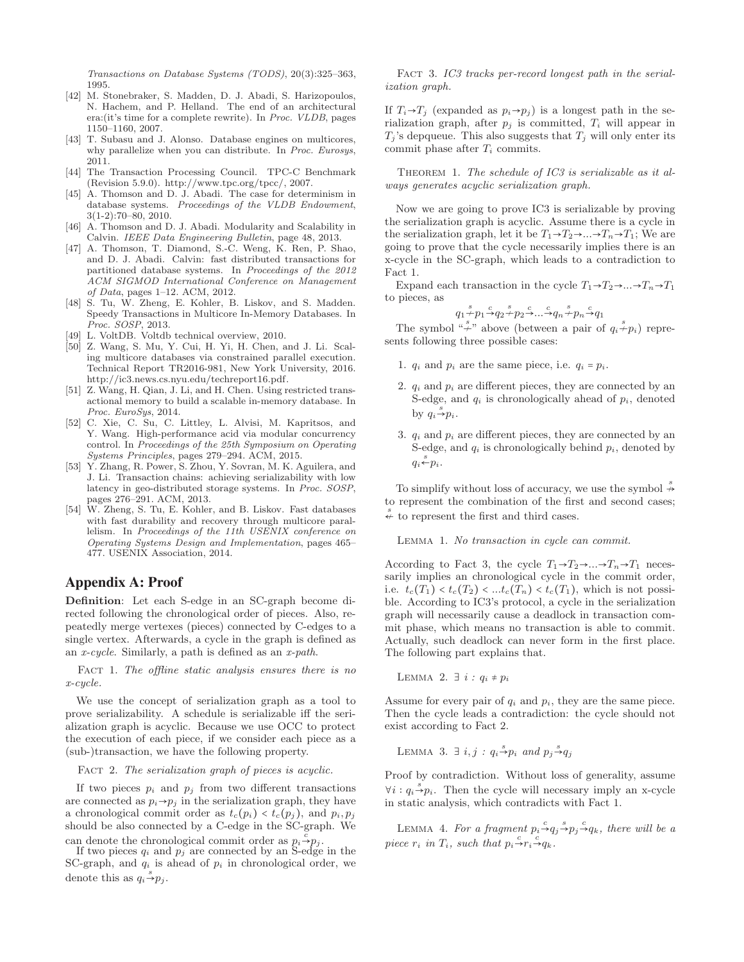Transactions on Database Systems (TODS), 20(3):325–363, 1995.

- <span id="page-13-0"></span>[42] M. Stonebraker, S. Madden, D. J. Abadi, S. Harizopoulos, N. Hachem, and P. Helland. The end of an architectural era:(it's time for a complete rewrite). In Proc. VLDB, pages 1150–1160, 2007.
- <span id="page-13-12"></span>[43] T. Subasu and J. Alonso. Database engines on multicores, why parallelize when you can distribute. In Proc. Eurosys, 2011.
- <span id="page-13-6"></span>[44] The Transaction Processing Council. TPC-C Benchmark (Revision 5.9.0). http://www.tpc.org/tpcc/, 2007.
- <span id="page-13-5"></span>[45] A. Thomson and D. J. Abadi. The case for determinism in database systems. Proceedings of the VLDB Endowment, 3(1-2):70–80, 2010.
- <span id="page-13-10"></span>[46] A. Thomson and D. J. Abadi. Modularity and Scalability in Calvin. IEEE Data Engineering Bulletin, page 48, 2013.
- <span id="page-13-4"></span>[47] A. Thomson, T. Diamond, S.-C. Weng, K. Ren, P. Shao, and D. J. Abadi. Calvin: fast distributed transactions for partitioned database systems. In Proceedings of the 2012 ACM SIGMOD International Conference on Management of Data, pages 1–12. ACM, 2012.
- <span id="page-13-1"></span>[48] S. Tu, W. Zheng, E. Kohler, B. Liskov, and S. Madden. Speedy Transactions in Multicore In-Memory Databases. In Proc. SOSP, 2013.
- <span id="page-13-11"></span>[49] L. VoltDB. Voltdb technical overview, 2010.
- <span id="page-13-8"></span>[50] Z. Wang, S. Mu, Y. Cui, H. Yi, H. Chen, and J. Li. Scaling multicore databases via constrained parallel execution. Technical Report TR2016-981, New York University, 2016. [http://ic3.news.cs.nyu.edu/techreport16.pdf.](http://ic3.news.cs.nyu.edu/techreport16.pdf)
- <span id="page-13-2"></span>[51] Z. Wang, H. Qian, J. Li, and H. Chen. Using restricted transactional memory to build a scalable in-memory database. In Proc. EuroSys, 2014.
- <span id="page-13-9"></span>[52] C. Xie, C. Su, C. Littley, L. Alvisi, M. Kapritsos, and Y. Wang. High-performance acid via modular concurrency control. In Proceedings of the 25th Symposium on Operating Systems Principles, pages 279–294. ACM, 2015.
- <span id="page-13-7"></span>[53] Y. Zhang, R. Power, S. Zhou, Y. Sovran, M. K. Aguilera, and J. Li. Transaction chains: achieving serializability with low latency in geo-distributed storage systems. In Proc. SOSP, pages 276–291. ACM, 2013.
- <span id="page-13-3"></span>[54] W. Zheng, S. Tu, E. Kohler, and B. Liskov. Fast databases with fast durability and recovery through multicore parallelism. In Proceedings of the 11th USENIX conference on Operating Systems Design and Implementation, pages 465– 477. USENIX Association, 2014.

#### Appendix A: Proof

Definition: Let each S-edge in an SC-graph become directed following the chronological order of pieces. Also, repeatedly merge vertexes (pieces) connected by C-edges to a single vertex. Afterwards, a cycle in the graph is defined as an x-cycle. Similarly, a path is defined as an x-path.

<span id="page-13-13"></span>FACT 1. The offline static analysis ensures there is no x-cycle.

We use the concept of serialization graph as a tool to prove serializability. A schedule is serializable iff the serialization graph is acyclic. Because we use OCC to protect the execution of each piece, if we consider each piece as a (sub-)transaction, we have the following property.

FACT 2. The serialization graph of pieces is acyclic.

If two pieces  $p_i$  and  $p_j$  from two different transactions are connected as  $p_i \rightarrow p_j$  in the serialization graph, they have a chronological commit order as  $t_c(p_i) < t_c(p_j)$ , and  $p_i, p_j$ should be also connected by a C-edge in the SC-graph. We can denote the chronological commit order as  $p_i \stackrel{\bar{c}}{\rightarrow} p_j$ .

<span id="page-13-14"></span>If two pieces  $q_i$  and  $p_j$  are connected by an S-edge in the SC-graph, and  $q_i$  is ahead of  $p_i$  in chronological order, we denote this as  $q_i \stackrel{s}{\rightarrow} p_j$ .

FACT 3. IC3 tracks per-record longest path in the serialization graph.

If  $T_i \rightarrow T_j$  (expanded as  $p_i \rightarrow p_j$ ) is a longest path in the serialization graph, after  $p_i$  is committed,  $T_i$  will appear in  $T_i$ 's depqueue. This also suggests that  $T_i$  will only enter its commit phase after  $T_i$  commits.

Theorem 1. The schedule of IC3 is serializable as it always generates acyclic serialization graph.

Now we are going to prove IC3 is serializable by proving the serialization graph is acyclic. Assume there is a cycle in the serialization graph, let it be  $T_1 \rightarrow T_2 \rightarrow \dots \rightarrow T_n \rightarrow T_1$ ; We are going to prove that the cycle necessarily implies there is an x-cycle in the SC-graph, which leads to a contradiction to Fact [1.](#page-13-13)

Expand each transaction in the cycle  $T_1 \rightarrow T_2 \rightarrow \dots \rightarrow T_n \rightarrow T_1$ to pieces, as

$$
q_1 \xrightarrow{s} p_1 \xrightarrow{c} q_2 \xrightarrow{p} p_2 \xrightarrow{c} \dots \xrightarrow{c} q_n \xrightarrow{c} p_n \xrightarrow{c} q_1
$$

The symbol " $\overset{s}{+}$ " above (between a pair of  $q_i \overset{s}{+} p_i$ ) represents following three possible cases:

- 1.  $q_i$  and  $p_i$  are the same piece, i.e.  $q_i = p_i$ .
- 2.  $q_i$  and  $p_i$  are different pieces, they are connected by an S-edge, and  $q_i$  is chronologically ahead of  $p_i$ , denoted by  $q_i \stackrel{s}{\rightarrow} p_i$ .
- 3.  $q_i$  and  $p_i$  are different pieces, they are connected by an S-edge, and  $q_i$  is chronologically behind  $p_i$ , denoted by  $q_i \stackrel{s}{\leftarrow} p_i$ .

To simplify without loss of accuracy, we use the symbol  $\stackrel{s}{\nrightarrow}$ to represent the combination of the first and second cases;  $\stackrel{s}{\leftarrow}$  to represent the first and third cases.

<span id="page-13-15"></span>LEMMA 1. No transaction in cycle can commit.

According to Fact [3,](#page-13-14) the cycle  $T_1 \rightarrow T_2 \rightarrow \dots \rightarrow T_n \rightarrow T_1$  necessarily implies an chronological cycle in the commit order, i.e.  $t_c(T_1) < t_c(T_2) < ... t_c(T_n) < t_c(T_1)$ , which is not possible. According to IC3's protocol, a cycle in the serialization graph will necessarily cause a deadlock in transaction commit phase, which means no transaction is able to commit. Actually, such deadlock can never form in the first place. The following part explains that.

LEMMA 2.  $\exists i : q_i \neq p_i$ 

Assume for every pair of  $q_i$  and  $p_i$ , they are the same piece. Then the cycle leads a contradiction: the cycle should not exist according to Fact 2.

LEMMA 3.  $\exists i, j : q_i \stackrel{s}{\rightarrow} p_i$  and  $p_j \stackrel{s}{\rightarrow} q_j$ 

Proof by contradiction. Without loss of generality, assume  $\forall i : q_i \stackrel{s}{\rightarrow} p_i$ . Then the cycle will necessary imply an x-cycle in static analysis, which contradicts with Fact 1.

<span id="page-13-16"></span>LEMMA 4. For a fragment  $p_i \xrightarrow{c} q_j \xrightarrow{s} p_j \xrightarrow{c} q_k$ , there will be a piece  $r_i$  in  $T_i$ , such that  $p_i \stackrel{c}{\rightarrow} r_i \stackrel{c}{\rightarrow} q_k$ .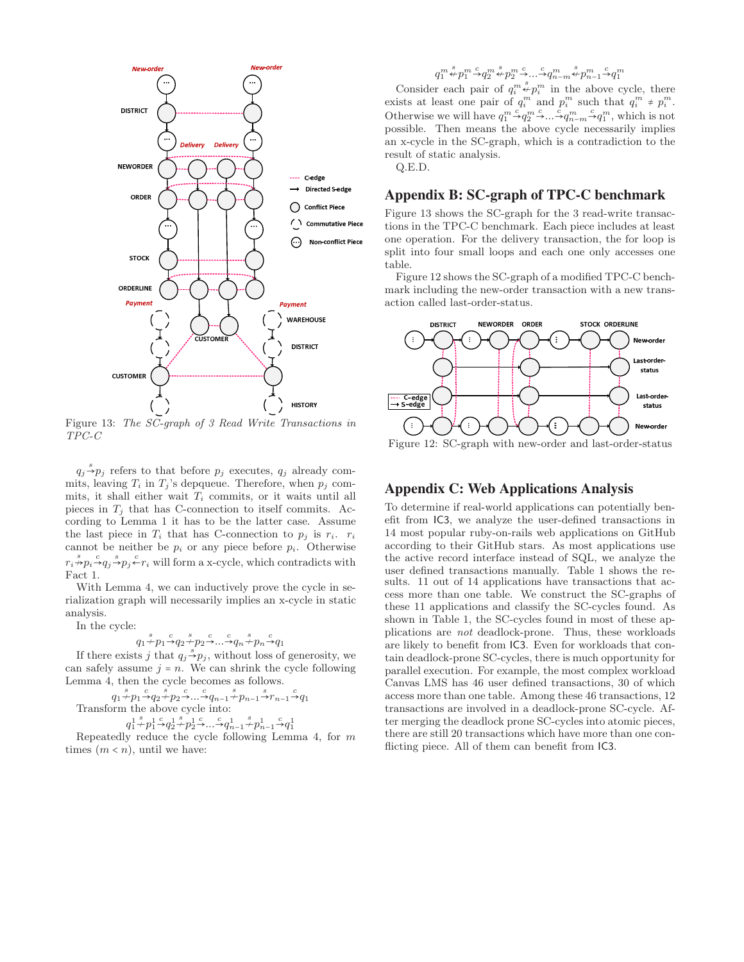<span id="page-14-1"></span>

Figure 13: The SC-graph of 3 Read Write Transactions in TPC-C

 $q_j \stackrel{s}{\rightarrow} p_j$  refers to that before  $p_j$  executes,  $q_j$  already commits, leaving  $T_i$  in  $T_j$ 's depqueue. Therefore, when  $p_j$  commits, it shall either wait  $T_i$  commits, or it waits until all pieces in  $T_i$  that has C-connection to itself commits. According to Lemma [1](#page-13-15) it has to be the latter case. Assume the last piece in  $T_i$  that has C-connection to  $p_j$  is  $r_i$ .  $r_i$ cannot be neither be  $p_i$  or any piece before  $p_i$ . Otherwise  $r_i \overset{s}{\rightarrow} p_i \overset{c}{\rightarrow} q_j \overset{s}{\leftarrow} r_i$  will form a x-cycle, which contradicts with Fact [1.](#page-13-13)

With Lemma [4,](#page-13-16) we can inductively prove the cycle in serialization graph will necessarily implies an x-cycle in static analysis.

In the cycle:

$$
q_1 \xrightarrow{s} p_1 \xrightarrow{c} q_2 \xrightarrow{s} p_2 \xrightarrow{c} \dots \xrightarrow{s} q_n \xrightarrow{c} q_1
$$

If there exists j that  $q_j \stackrel{s}{\rightarrow} p_j$ , without loss of generosity, we can safely assume  $j = n$ . We can shrink the cycle following Lemma [4,](#page-13-16) then the cycle becomes as follows.

$$
q_1 \xrightarrow{\delta} p_1 \xrightarrow{\delta} q_2 \xrightarrow{\delta} p_2 \xrightarrow{\mathbb{C}} \xrightarrow{\mathbb{C}} q_{n-1} \xrightarrow{\delta} p_{n-1} \xrightarrow{\delta} r_{n-1} \xrightarrow{\mathbb{C}} q_1
$$
  
Transform the above cycle into:  

$$
q_1^1 \xrightarrow{\delta} p_1^1 \xrightarrow{\mathbb{C}} q_2^1 \xrightarrow{\mathbb{C}} p_2^1 \xrightarrow{\mathbb{C}} \xrightarrow{\mathbb{C}} q_{n-1}^1 \xrightarrow{\mathbb{C}} p_{n-1}^1 \xrightarrow{\mathbb{C}} q_1^1
$$

Repeatedly reduce the cycle following Lemma [4,](#page-13-16) for  $m$ times  $(m < n)$ , until we have:

## $q_1^m \stackrel{s}{\leftrightarrow} p_1^m \stackrel{c}{\rightarrow} q_2^m \stackrel{s}{\leftrightarrow} p_2^m \stackrel{c}{\rightarrow} \ldots \stackrel{c}{\rightarrow} q_{n-m}^m \stackrel{s}{\leftrightarrow} p_{n-1}^m \stackrel{c}{\rightarrow} q_1^m$

Consider each pair of  $q_i^m \overset{s}{\leftrightarrow} p_i^m$  in the above cycle, there exists at least one pair of  $q_i^m$  and  $p_i^m$  such that  $q_i^m \neq p_i^m$ . Otherwise we will have  $q_1^m \overset{c}{\rightarrow} q_2^m \overset{c}{\rightarrow} ... \overset{c}{\rightarrow} q_{n-m}^m \overset{c}{\rightarrow} q_1^m$ , which is not possible. Then means the above cycle necessarily implies an x-cycle in the SC-graph, which is a contradiction to the result of static analysis.

Q.E.D.

#### Appendix B: SC-graph of TPC-C benchmark

Figure [13](#page-14-1) shows the SC-graph for the 3 read-write transactions in the TPC-C benchmark. Each piece includes at least one operation. For the delivery transaction, the for loop is split into four small loops and each one only accesses one table.

Figure [12](#page-14-0) shows the SC-graph of a modified TPC-C benchmark including the new-order transaction with a new transaction called last-order-status.

<span id="page-14-0"></span>

Figure 12: SC-graph with new-order and last-order-status

#### Appendix C: Web Applications Analysis

To determine if real-world applications can potentially benefit from IC3, we analyze the user-defined transactions in 14 most popular ruby-on-rails web applications on GitHub according to their GitHub stars. As most applications use the active record interface instead of SQL, we analyze the user defined transactions manually. Table [1](#page-15-0) shows the results. 11 out of 14 applications have transactions that access more than one table. We construct the SC-graphs of these 11 applications and classify the SC-cycles found. As shown in Table [1,](#page-15-0) the SC-cycles found in most of these applications are not deadlock-prone. Thus, these workloads are likely to benefit from IC3. Even for workloads that contain deadlock-prone SC-cycles, there is much opportunity for parallel execution. For example, the most complex workload Canvas LMS has 46 user defined transactions, 30 of which access more than one table. Among these 46 transactions, 12 transactions are involved in a deadlock-prone SC-cycle. After merging the deadlock prone SC-cycles into atomic pieces, there are still 20 transactions which have more than one conflicting piece. All of them can benefit from IC3.